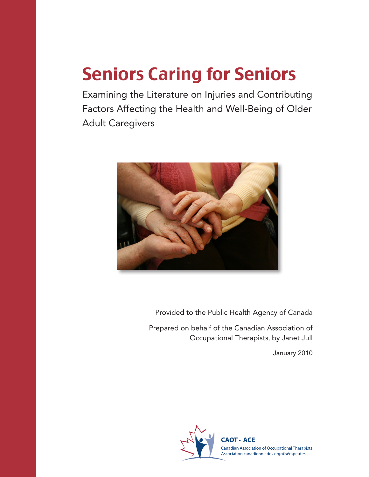# Seniors Caring for Seniors

Examining the Literature on Injuries and Contributing Factors Affecting the Health and Well-Being of Older Adult Caregivers



Provided to the Public Health Agency of Canada

Prepared on behalf of the Canadian Association of Occupational Therapists, by Janet Jull

January 2010

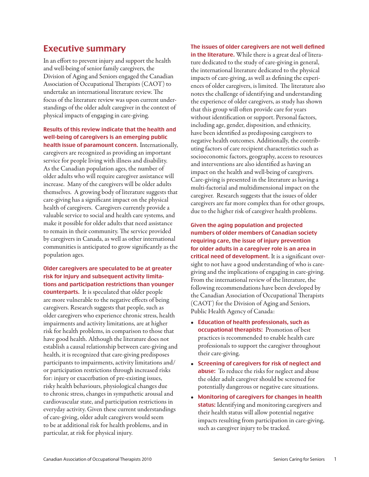#### Executive summary

In an effort to prevent injury and support the health and well-being of senior family caregivers, the Division of Aging and Seniors engaged the Canadian Association of Occupational Therapists (CAOT) to undertake an international literature review. The focus of the literature review was upon current understandings of the older adult caregiver in the context of physical impacts of engaging in care-giving.

#### Results of this review indicate that the health and well-being of caregivers is an emerging public health issue of paramount concern. Internationally,

caregivers are recognized as providing an important service for people living with illness and disability. As the Canadian population ages, the number of older adults who will require caregiver assistance will increase. Many of the caregivers will be older adults themselves. A growing body of literature suggests that care-giving has a significant impact on the physical health of caregivers. Caregivers currently provide a valuable service to social and health care systems, and make it possible for older adults that need assistance to remain in their community. The service provided by caregivers in Canada, as well as other international communities is anticipated to grow significantly as the population ages.

Older caregivers are speculated to be at greater risk for injury and subsequent activity limitations and participation restrictions than younger counterparts. It is speculated that older people are more vulnerable to the negative effects of being caregivers. Research suggests that people, such as older caregivers who experience chronic stress, health impairments and activity limitations, are at higher risk for health problems, in comparison to those that have good health. Although the literature does not establish a causal relationship between care-giving and health, it is recognized that care-giving predisposes participants to impairments, activity limitations and/ or participation restrictions through increased risks for: injury or exacerbation of pre-existing issues, risky health behaviours, physiological changes due to chronic stress, changes in sympathetic arousal and cardiovascular state, and participation restrictions in everyday activity. Given these current understandings of care-giving, older adult caregivers would seem to be at additional risk for health problems, and in particular, at risk for physical injury.

The issues of older caregivers are not well defined in the literature. While there is a great deal of literature dedicated to the study of care-giving in general, the international literature dedicated to the physical impacts of care-giving, as well as defining the experiences of older caregivers, is limited. The literature also notes the challenge of identifying and understanding the experience of older caregivers, as study has shown that this group will often provide care for years without identification or support. Personal factors, including age, gender, disposition, and ethnicity, have been identified as predisposing caregivers to negative health outcomes. Additionally, the contributing factors of care recipient characteristics such as socioeconomic factors, geography, access to resources and interventions are also identified as having an impact on the health and well-being of caregivers. Care-giving is presented in the literature as having a multi-factorial and multidimensional impact on the caregiver. Research suggests that the issues of older caregivers are far more complex than for other groups, due to the higher risk of caregiver health problems.

Given the aging population and projected numbers of older members of Canadian society requiring care, the issue of injury prevention for older adults in a caregiver role is an area in critical need of development. It is a significant oversight to not have a good understanding of who is caregiving and the implications of engaging in care-giving. From the international review of the literature, the following recommendations have been developed by the Canadian Association of Occupational Therapists (CAOT) for the Division of Aging and Seniors, Public Health Agency of Canada:

- • Education of health professionals, such as occupational therapists: Promotion of best practices is recommended to enable health care professionals to support the caregiver throughout their care-giving.
- • Screening of caregivers for risk of neglect and abuse: To reduce the risks for neglect and abuse the older adult caregiver should be screened for potentially dangerous or negative care situations.
- Monitoring of caregivers for changes in health status: Identifying and monitoring caregivers and their health status will allow potential negative impacts resulting from participation in care-giving, such as caregiver injury to be tracked.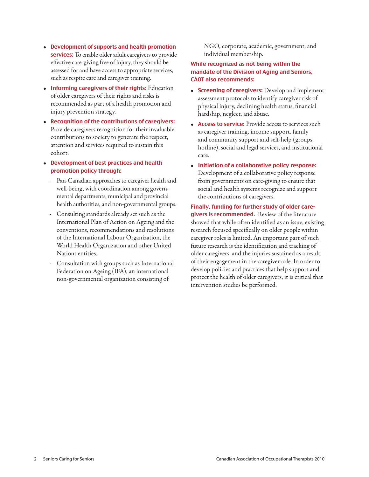- • Development of supports and health promotion services: To enable older adult caregivers to provide effective care-giving free of injury, they should be assessed for and have access to appropriate services, such as respite care and caregiver training.
- Informing caregivers of their rights: Education of older caregivers of their rights and risks is recommended as part of a health promotion and injury prevention strategy.
- Recognition of the contributions of caregivers: Provide caregivers recognition for their invaluable contributions to society to generate the respect, attention and services required to sustain this cohort.
- • Development of best practices and health promotion policy through:
	- Pan-Canadian approaches to caregiver health and well-being, with coordination among governmental departments, municipal and provincial health authorities, and non-governmental groups.
	- Consulting standards already set such as the International Plan of Action on Ageing and the conventions, recommendations and resolutions of the International Labour Organization, the World Health Organization and other United Nations entities.
	- Consultation with groups such as International Federation on Ageing (IFA), an international non-governmental organization consisting of

NGO, corporate, academic, government, and individual membership.

#### While recognized as not being within the mandate of the Division of Aging and Seniors, CAOT also recommends:

- Screening of caregivers: Develop and implement assessment protocols to identify caregiver risk of physical injury, declining health status, financial hardship, neglect, and abuse.
- Access to service: Provide access to services such as caregiver training, income support, family and community support and self-help (groups, hotline), social and legal services, and institutional care.
- Initiation of a collaborative policy response: Development of a collaborative policy response from governments on care-giving to ensure that social and health systems recognize and support the contributions of caregivers.

Finally, funding for further study of older caregivers is recommended. Review of the literature showed that while often identified as an issue, existing research focused specifically on older people within caregiver roles is limited. An important part of such future research is the identification and tracking of older caregivers, and the injuries sustained as a result of their engagement in the caregiver role. In order to develop policies and practices that help support and protect the health of older caregivers, it is critical that intervention studies be performed.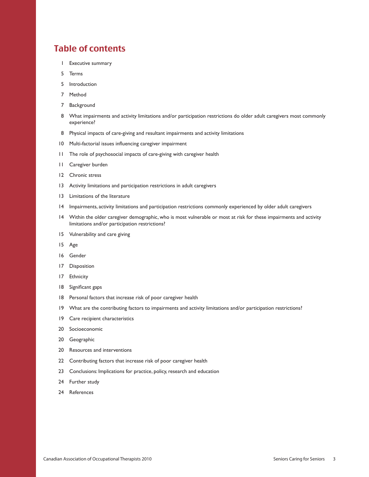### Table of contents

- Executive summary
- Terms
- Introduction
- Method
- Background
- What impairments and activity limitations and/or participation restrictions do older adult caregivers most commonly experience?
- Physical impacts of care-giving and resultant impairments and activity limitations
- 10 Multi-factorial issues influencing caregiver impairment
- The role of psychosocial impacts of care-giving with caregiver health
- Caregiver burden
- Chronic stress
- Activity limitations and participation restrictions in adult caregivers
- Limitations of the literature
- Impairments, activity limitations and participation restrictions commonly experienced by older adult caregivers
- Within the older caregiver demographic, who is most vulnerable or most at risk for these impairments and activity limitations and/or participation restrictions?
- Vulnerability and care giving
- Age
- Gender
- Disposition
- Ethnicity
- 18 Significant gaps
- Personal factors that increase risk of poor caregiver health
- What are the contributing factors to impairments and activity limitations and/or participation restrictions?
- Care recipient characteristics
- Socioeconomic
- Geographic
- Resources and interventions
- Contributing factors that increase risk of poor caregiver health
- Conclusions: Implications for practice, policy, research and education
- Further study
- References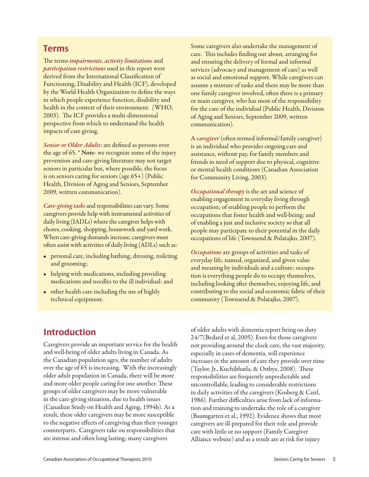#### Terms

The terms *impairments*, *activity limitations* and *participation restrictions* used in this report were derived from the International Classification of Functioning, Disability and Health (ICF), developed by the World Health Organization to define the ways in which people experience function, disability and health in the context of their environment. (WHO, 2003). The ICF provides a multi-dimensional perspective from which to understand the health impacts of care giving.

*Senior or Older Adults*: are defined as persons over the age of 65. \* Note- we recognize some of the injury prevention and care-giving literature may not target seniors in particular but, where possible, the focus is on seniors caring for seniors (age 65+) (Public Health, Division of Aging and Seniors, September 2009, written communication).

*Care-giving tasks*and responsibilities can vary. Some caregivers provide help with instrumental activities of daily living (IADLs) where the caregiver helps with chores, cooking, shopping, housework and yard work. When care-giving demands increase, caregivers must often assist with activities of daily living (ADLs) such as:

- personal care, including bathing, dressing, toileting and grooming;
- helping with medications, including providing medications and needles to the ill individual: and
- other health care including the use of highly technical equipment.

Some caregivers also undertake the management of care. This includes finding out about, arranging for and ensuring the delivery of formal and informal services (advocacy and management of care) as well as social and emotional support. While caregivers can assume a mixture of tasks and there may be more than one family caregiver involved, often there is a primary or main caregiver, who has most of the responsibility for the care of the individual (Public Health, Division of Aging and Seniors, September 2009, written communication).

A *caregiver* (often termed informal/family caregiver) is an individual who provides ongoing care and assistance, without pay, for family members and friends in need of support due to physical, cognitive or mental health conditions (Canadian Association for Community Living, 2003).

*Occupational therapy* is the art and science of enabling engagement in everyday living through occupation; of enabling people to perform the occupations that foster health and well-being; and of enabling a just and inclusive society so that all people may participate to their potential in the daily occupations of life (Townsend & Polatajko, 2007).

*Occupations* are groups of activities and tasks of everyday life, named, organized, and given value and meaning by individuals and a culture; occupation is everything people do to occupy themselves, including looking after themselves, enjoying life, and contributing to the social and economic fabric of their community (Townsend & Polatajko, 2007).

#### Introduction

Caregivers provide an important service for the health and well-being of older adults living in Canada. As the Canadian population ages, the number of adults over the age of 65 is increasing. With the increasingly older adult population in Canada, there will be more and more older people caring for one another. These groups of older caregivers may be more vulnerable in the care-giving situation, due to health issues (Canadian Study on Health and Aging, 1994b). As a result, these older caregivers may be more susceptible to the negative effects of caregiving than their younger counterparts. Caregivers take on responsibilities that are intense and often long lasting; many caregivers

of older adults with dementia report being on duty 24/7(Bedard et al, 2005). Even for those caregivers not providing around the clock care, the vast majority, especially in cases of dementia, will experience increases in the amount of care they provide over time (Taylor, Jr., Kuchibhatla, & Ostbye, 2008). These responsibilities are frequently unpredictable and uncontrollable, leading to considerable restrictions in daily activities of the caregivers (Kosberg & Cairl, 1986). Further difficulties arise from lack of information and training to undertake the role of a caregiver (Baumgarten et al., 1992). Evidence shows that most caregivers are ill-prepared for their role and provide care with little or no support (Family Caregiver Alliance website) and as a result are at risk for injury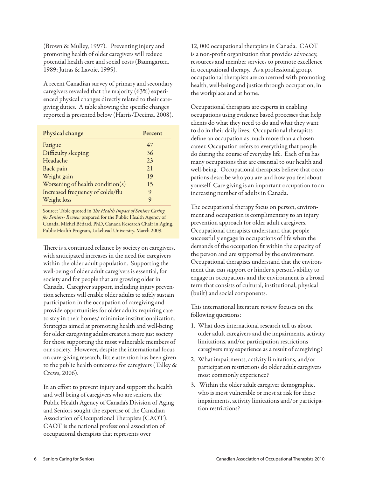(Brown & Mulley, 1997). Preventing injury and promoting health of older caregivers will reduce potential health care and social costs (Baumgarten, 1989; Jutras & Lavoie, 1995).

A recent Canadian survey of primary and secondary caregivers revealed that the majority (63%) experienced physical changes directly related to their caregiving duties. A table showing the specific changes reported is presented below (Harris/Decima, 2008).

| Physical change                  | Percent |
|----------------------------------|---------|
| Fatigue                          | 47      |
| Difficulty sleeping              | 36      |
| Headache                         | 23      |
| Back pain                        | 21      |
| Weight gain                      | 19      |
| Worsening of health condition(s) | 15      |
| Increased frequency of colds/flu | 9       |
| Weight loss                      | 9       |

Source: Table quoted in *The Health Impact of Seniors Caring for Seniors- Review* prepared for the Public Health Agency of Canada, Michel Bédard, PhD, Canada Research Chair in Aging, Public Health Program, Lakehead University. March 2009.

There is a continued reliance by society on caregivers, with anticipated increases in the need for caregivers within the older adult population. Supporting the well-being of older adult caregivers is essential, for society and for people that are growing older in Canada. Caregiver support, including injury prevention schemes will enable older adults to safely sustain participation in the occupation of caregiving and provide opportunities for older adults requiring care to stay in their homes/ minimize institutionalization. Strategies aimed at promoting health and well-being for older caregiving adults creates a more just society for those supporting the most vulnerable members of our society. However, despite the international focus on care-giving research, little attention has been given to the public health outcomes for caregivers (Talley & Crews, 2006).

In an effort to prevent injury and support the health and well being of caregivers who are seniors, the Public Health Agency of Canada's Division of Aging and Seniors sought the expertise of the Canadian Association of Occupational Therapists (CAOT). CAOT is the national professional association of occupational therapists that represents over

12, 000 occupational therapists in Canada. CAOT is a non-profit organization that provides advocacy, resources and member services to promote excellence in occupational therapy. As a professional group, occupational therapists are concerned with promoting health, well-being and justice through occupation, in the workplace and at home.

Occupational therapists are experts in enabling occupations using evidence based processes that help clients do what they need to do and what they want to do in their daily lives. Occupational therapists define an occupation as much more than a chosen career. Occupation refers to everything that people do during the course of everyday life. Each of us has many occupations that are essential to our health and well-being. Occupational therapists believe that occupations describe who you are and how you feel about yourself. Care giving is an important occupation to an increasing number of adults in Canada.

The occupational therapy focus on person, environment and occupation is complimentary to an injury prevention approach for older adult caregivers. Occupational therapists understand that people successfully engage in occupations of life when the demands of the occupation fit within the capacity of the person and are supported by the environment. Occupational therapists understand that the environment that can support or hinder a person's ability to engage in occupations and the environment is a broad term that consists of cultural, institutional, physical (built) and social components.

This international literature review focuses on the following questions:

- 1. What does international research tell us about older adult caregivers and the impairments, activity limitations, and/or participation restrictions caregivers may experience as a result of caregiving?
- 2. What impairments, activity limitations, and/or participation restrictions do older adult caregivers most commonly experience?
- 3. Within the older adult caregiver demographic, who is most vulnerable or most at risk for these impairments, activity limitations and/or participation restrictions?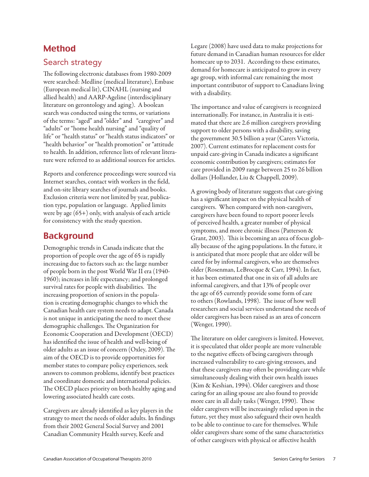# Method

#### Search strategy

The following electronic databases from 1980-2009 were searched: Medline (medical literature), Embase (European medical lit), CINAHL (nursing and allied health) and AARP-Ageline (interdisciplinary literature on gerontology and aging). A boolean search was conducted using the terms, or variations of the terms: "aged" and "older" and "caregiver" and "adults" or "home health nursing" and "quality of life" or "health status" or "health status indicators" or "health behavior" or "health promotion" or "attitude to health. In addition, reference lists of relevant literature were referred to as additional sources for articles.

Reports and conference proceedings were sourced via Internet searches, contact with workers in the field, and on-site library searches of journals and books. Exclusion criteria were not limited by year, publication type, population or language. Applied limits were by age (65+) only, with analysis of each article for consistency with the study question.

# Background

Demographic trends in Canada indicate that the proportion of people over the age of 65 is rapidly increasing due to factors such as: the large number of people born in the post World War II era (1940- 1960); increases in life expectancy; and prolonged survival rates for people with disabilities. The increasing proportion of seniors in the population is creating demographic changes to which the Canadian health care system needs to adapt. Canada is not unique in anticipating the need to meet these demographic challenges. The Organization for Economic Cooperation and Development (OECD) has identified the issue of health and well-being of older adults as an issue of concern (Oxley, 2009). The aim of the OECD is to provide opportunities for member states to compare policy experiences, seek answers to common problems, identify best practices and coordinate domestic and international policies. The OECD places priority on both healthy aging and lowering associated health care costs.

Caregivers are already identified as key players in the strategy to meet the needs of older adults. In findings from their 2002 General Social Survey and 2001 Canadian Community Health survey, Keefe and

Legare (2008) have used data to make projections for future demand in Canadian human resources for elder homecare up to 2031. According to these estimates, demand for homecare is anticipated to grow in every age group, with informal care remaining the most important contributor of support to Canadians living with a disability.

The importance and value of caregivers is recognized internationally. For instance, in Australia it is estimated that there are 2.6 million caregivers providing support to older persons with a disability, saving the government 30.5 billion a year (Carers Victoria, 2007). Current estimates for replacement costs for unpaid care-giving in Canada indicates a significant economic contribution by caregivers; estimates for care provided in 2009 range between 25 to 26 billion dollars (Hollander, Liu & Chappell, 2009).

A growing body of literature suggests that care-giving has a significant impact on the physical health of caregivers. When compared with non-caregivers, caregivers have been found to report poorer levels of perceived health, a greater number of physical symptoms, and more chronic illness (Patterson & Grant, 2003). This is becoming an area of focus globally because of the aging populations. In the future, it is anticipated that more people that are older will be cared for by informal caregivers, who are themselves older (Rosenman, LeBrocque & Carr, 1994). In fact, it has been estimated that one in six of all adults are informal caregivers, and that 13% of people over the age of 65 currently provide some form of care to others (Rowlands, 1998). The issue of how well researchers and social services understand the needs of older caregivers has been raised as an area of concern (Wenger, 1990).

The literature on older caregivers is limited. However, it is speculated that older people are more vulnerable to the negative effects of being caregivers through increased vulnerability to care-giving stressors, and that these caregivers may often be providing care while simultaneously dealing with their own health issues (Kim & Keshian, 1994). Older caregivers and those caring for an ailing spouse are also found to provide more care in all daily tasks (Wenger, 1990). These older caregivers will be increasingly relied upon in the future, yet they must also safeguard their own health to be able to continue to care for themselves. While older caregivers share some of the same characteristics of other caregivers with physical or affective health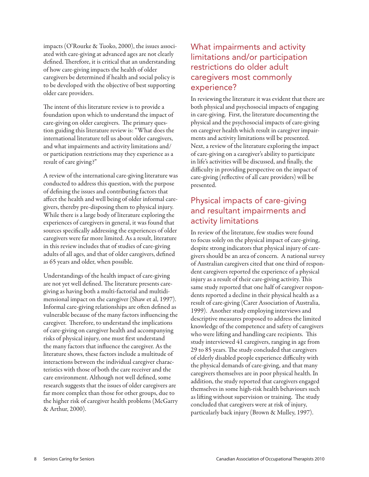impacts (O'Rourke & Tuoko, 2000), the issues associated with care-giving at advanced ages are not clearly defined. Therefore, it is critical that an understanding of how care-giving impacts the health of older caregivers be determined if health and social policy is to be developed with the objective of best supporting older care providers.

The intent of this literature review is to provide a foundation upon which to understand the impact of care-giving on older caregivers. The primary question guiding this literature review is: "What does the international literature tell us about older caregivers, and what impairments and activity limitations and/ or participation restrictions may they experience as a result of care giving?"

A review of the international care-giving literature was conducted to address this question, with the purpose of defining the issues and contributing factors that affect the health and well being of older informal caregivers, thereby pre-disposing them to physical injury. While there is a large body of literature exploring the experiences of caregivers in general, it was found that sources specifically addressing the experiences of older caregivers were far more limited. As a result, literature in this review includes that of studies of care-giving adults of all ages, and that of older caregivers, defined as 65 years and older, when possible.

Understandings of the health impact of care-giving are not yet well defined. The literature presents caregiving as having both a multi-factorial and multidimensional impact on the caregiver (Shaw et al, 1997). Informal care-giving relationships are often defined as vulnerable because of the many factors influencing the caregiver. Therefore, to understand the implications of care-giving on caregiver health and accompanying risks of physical injury, one must first understand the many factors that influence the caregiver. As the literature shows, these factors include a multitude of interactions between the individual caregiver characteristics with those of both the care receiver and the care environment. Although not well defined, some research suggests that the issues of older caregivers are far more complex than those for other groups, due to the higher risk of caregiver health problems (McGarry & Arthur, 2000).

#### What impairments and activity limitations and/or participation restrictions do older adult caregivers most commonly experience?

In reviewing the literature it was evident that there are both physical and psychosocial impacts of engaging in care-giving. First, the literature documenting the physical and the psychosocial impacts of care-giving on caregiver health which result in caregiver impairments and activity limitations will be presented. Next, a review of the literature exploring the impact of care-giving on a caregiver's ability to participate in life's activities will be discussed, and finally, the difficulty in providing perspective on the impact of care-giving (reflective of all care providers) will be presented.

#### Physical impacts of care-giving and resultant impairments and activity limitations

In review of the literature, few studies were found to focus solely on the physical impact of care-giving, despite strong indicators that physical injury of caregivers should be an area of concern. A national survey of Australian caregivers cited that one third of respondent caregivers reported the experience of a physical injury as a result of their care-giving activity. This same study reported that one half of caregiver respondents reported a decline in their physical health as a result of care-giving (Carer Association of Australia, 1999). Another study employing interviews and descriptive measures proposed to address the limited knowledge of the competence and safety of caregivers who were lifting and handling care recipients. This study interviewed 41 caregivers, ranging in age from 29 to 85 years. The study concluded that caregivers of elderly disabled people experience difficulty with the physical demands of care-giving, and that many caregivers themselves are in poor physical health. In addition, the study reported that caregivers engaged themselves in some high-risk health behaviours such as lifting without supervision or training. The study concluded that caregivers were at risk of injury, particularly back injury (Brown & Mulley, 1997).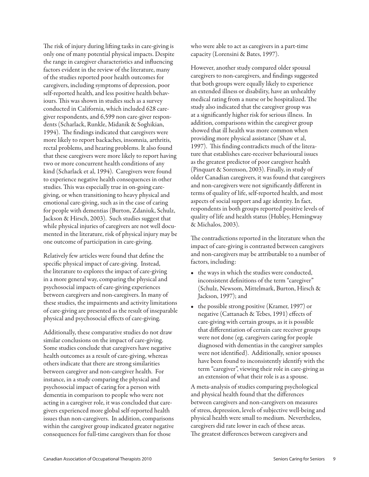The risk of injury during lifting tasks in care-giving is only one of many potential physical impacts. Despite the range in caregiver characteristics and influencing factors evident in the review of the literature, many of the studies reported poor health outcomes for caregivers, including symptoms of depression, poor self-reported health, and less positive health behaviours. This was shown in studies such as a survey conducted in California, which included 628 caregiver respondents, and 6,599 non care-giver respondents (Scharlack, Runkle, Midanik & Soghikian, 1994). The findings indicated that caregivers were more likely to report backaches, insomnia, arthritis, rectal problems, and hearing problems. It also found that these caregivers were more likely to report having two or more concurrent health conditions of any kind (Scharlack et al, 1994). Caregivers were found to experience negative health consequences in other studies. This was especially true in on-going caregiving, or when transitioning to heavy physical and emotional care-giving, such as in the case of caring for people with dementias (Burton, Zdaniuk, Schulz, Jackson & Hirsch, 2003). Such studies suggest that while physical injuries of caregivers are not well documented in the literature, risk of physical injury may be one outcome of participation in care-giving.

Relatively few articles were found that define the specific physical impact of care-giving. Instead, the literature to explores the impact of care-giving in a more general way, comparing the physical and psychosocial impacts of care-giving experiences between caregivers and non-caregivers. In many of these studies, the impairments and activity limitations of care-giving are presented as the result of inseparable physical and psychosocial effects of care-giving.

Additionally, these comparative studies do not draw similar conclusions on the impact of care-giving. Some studies conclude that caregivers have negative health outcomes as a result of care-giving, whereas others indicate that there are strong similarities between caregiver and non-caregiver health. For instance, in a study comparing the physical and psychosocial impact of caring for a person with dementia in comparison to people who were not acting in a caregiver role, it was concluded that caregivers experienced more global self-reported health issues than non-caregivers. In addition, comparisons within the caregiver group indicated greater negative consequences for full-time caregivers than for those

who were able to act as caregivers in a part-time capacity (Lorensini & Bates, 1997).

However, another study compared older spousal caregivers to non-caregivers, and findings suggested that both groups were equally likely to experience an extended illness or disability, have an unhealthy medical rating from a nurse or be hospitalized. The study also indicated that the caregiver group was at a significantly higher risk for serious illness. In addition, comparisons within the caregiver group showed that ill health was more common when providing more physical assistance (Shaw et al, 1997). This finding contradicts much of the literature that establishes care-receiver behavioural issues as the greatest predictor of poor caregiver health (Pinquart & Sorenson, 2003). Finally, in study of older Canadian caregivers, it was found that caregivers and non-caregivers were not significantly different in terms of quality of life, self-reported health, and most aspects of social support and age identity. In fact, respondents in both groups reported positive levels of quality of life and health status (Hubley, Hemingway & Michalos, 2003).

The contradictions reported in the literature when the impact of care-giving is contrasted between caregivers and non-caregivers may be attributable to a number of factors, including:

- • the ways in which the studies were conducted, inconsistent definitions of the term "caregiver" (Schulz, Newsom, Mittelmark, Burton, Hirsch & Jackson, 1997); and
- the possible strong positive (Kramer, 1997) or negative (Cattanach & Tebes, 1991) effects of care-giving with certain groups, as it is possible that differentiation of certain care receiver groups were not done (eg. caregivers caring for people diagnosed with dementias in the caregiver samples were not identified). Additionally, senior spouses have been found to inconsistently identify with the term "caregiver", viewing their role in care-giving as an extension of what their role is as a spouse.

A meta-analysis of studies comparing psychological and physical health found that the differences between caregivers and non-caregivers on measures of stress, depression, levels of subjective well-being and physical health were small to medium. Nevertheless, caregivers did rate lower in each of these areas. The greatest differences between caregivers and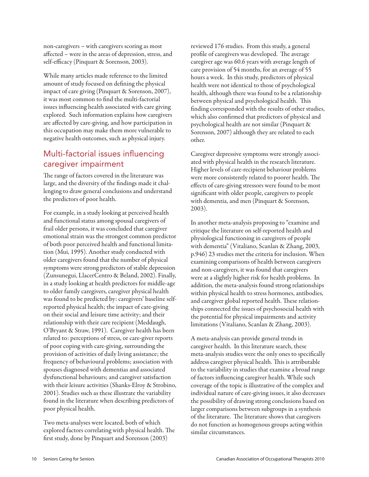non-caregivers – with caregivers scoring as most affected – were in the areas of depression, stress, and self-efficacy (Pinquart & Sorenson, 2003).

While many articles made reference to the limited amount of study focused on defining the physical impact of care giving (Pinquart & Sorenson, 2007), it was most common to find the multi-factorial issues influencing health associated with care giving explored. Such information explains how caregivers are affected by care-giving, and how participation in this occupation may make them more vulnerable to negative health outcomes, such as physical injury.

#### Multi-factorial issues influencing caregiver impairment

The range of factors covered in the literature was large, and the diversity of the findings made it challenging to draw general conclusions and understand the predictors of poor health.

For example, in a study looking at perceived health and functional status among spousal caregivers of frail older persons, it was concluded that caregiver emotional strain was the strongest common predictor of both poor perceived health and functional limitation (Mui, 1995). Another study conducted with older caregivers found that the number of physical symptoms were strong predictors of stable depression (Zunsunegui, LlacerCentro & Beland, 2002). Finally, in a study looking at health predictors for middle-age to older family caregivers, caregiver physical health was found to be predicted by: caregivers' baseline selfreported physical health; the impact of care-giving on their social and leisure time activity; and their relationship with their care recipient (Meddaugh, O'Bryant & Straw, 1991). Caregiver health has been related to: perceptions of stress, or care-giver reports of poor coping with care-giving, surrounding the provision of activities of daily living assistance; the frequency of behavioural problems; association with spouses diagnosed with dementias and associated dysfunctional behaviours; and caregiver satisfaction with their leisure activities (Shanks-Elroy & Strobino, 2001). Studies such as these illustrate the variability found in the literature when describing predictors of poor physical health.

Two meta-analyses were located, both of which explored factors correlating with physical health. The first study, done by Pinquart and Sorenson (2003)

reviewed 176 studies. From this study, a general profile of caregivers was developed. The average caregiver age was 60.6 years with average length of care provision of 54 months, for an average of 55 hours a week. In this study, predictors of physical health were not identical to those of psychological health, although there was found to be a relationship between physical and psychological health. This finding corresponded with the results of other studies, which also confirmed that predictors of physical and psychological health are not similar (Pinquart & Sorenson, 2007) although they are related to each other.

Caregiver depressive symptoms were strongly associated with physical health in the research literature. Higher levels of care-recipient behaviour problems were more consistently related to poorer health. The effects of care-giving stressors were found to be most significant with older people, caregivers to people with dementia, and men (Pinquart & Sorenson, 2003).

In another meta-analysis proposing to "examine and critique the literature on self-reported health and physiological functioning in caregivers of people with dementia" (Vitaliano, Scanlan & Zhang, 2003, p.946) 23 studies met the criteria for inclusion. When examining comparisons of health between caregivers and non-caregivers, it was found that caregivers were at a slightly higher risk for health problems. In addition, the meta-analysis found strong relationships within physical health to stress hormones, antibodies, and caregiver global reported health. These relationships connected the issues of psychosocial health with the potential for physical impairments and activity limitations (Vitaliano, Scanlan & Zhang, 2003).

A meta-analysis can provide general trends in caregiver health. In this literature search, these meta-analysis studies were the only ones to specifically address caregiver physical health. This is attributable to the variability in studies that examine a broad range of factors influencing caregiver health. While such coverage of the topic is illustrative of the complex and individual nature of care-giving issues, it also decreases the possibility of drawing strong conclusions based on larger comparisons between subgroups in a synthesis of the literature. The literature shows that caregivers do not function as homogenous groups acting within similar circumstances.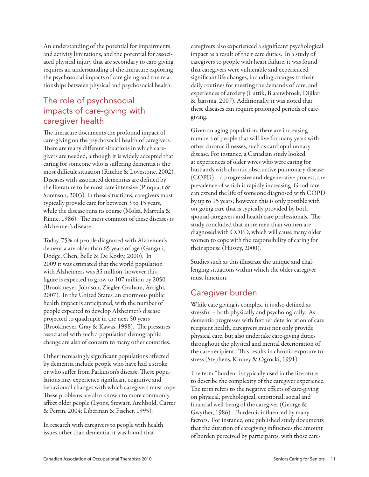An understanding of the potential for impairments and activity limitations, and the potential for associated physical injury that are secondary to care-giving requires an understanding of the literature exploring the psychosocial impacts of care giving and the relationships between physical and psychosocial health.

# The role of psychosocial impacts of care-giving with caregiver health

The literature documents the profound impact of care-giving on the psychosocial health of caregivers. There are many different situations in which caregivers are needed, although it is widely accepted that caring for someone who is suffering dementia is the most difficult situation (Ritchie & Lovestone, 2002). Diseases with associated dementias are defined by the literature to be most care intensive (Pinquart & Sorenson, 2003). In these situations, caregivers must typically provide care for between 3 to 15 years, while the disease runs its course (Mölsä, Marttila & Rinne, 1986). The most common of these diseases is Alzheimer's disease.

Today, 75% of people diagnosed with Alzheimer's dementia are older than 65 years of age (Ganguli, Dodge, Chen, Belle & De Kosky, 2000). In 2009 it was estimated that the world population with Alzheimers was 35 million, however this figure is expected to grow to 107 million by 2050 (Brookmeyer, Johnson, Ziegler-Graham, Arrighi, 2007). In the United States, an enormous public health impact is anticipated, with the number of people expected to develop Alzheimer's disease projected to quadruple in the next 50 years (Brookmeyer, Gray & Kawas, 1998). The pressures associated with such a population demographic change are also of concern to many other countries.

Other increasingly significant populations affected by dementia include people who have had a stroke or who suffer from Parkinson's disease. These populations may experience significant cognitive and behavioural changes with which caregivers must cope. These problems are also known to more commonly affect older people (Lyons, Stewart, Archbold, Carter & Perrin, 2004; Liberman & Fischer, 1995).

In research with caregivers to people with health issues other than dementia, it was found that

caregivers also experienced a significant psychological impact as a result of their care duties. In a study of caregivers to people with heart failure, it was found that caregivers were vulnerable and experienced significant life changes, including changes to their daily routines for meeting the demands of care, and experiences of anxiety (Luttik, Blaauwbroek, Dijiker & Jaarsma, 2007). Additionally, it was noted that these diseases can require prolonged periods of caregiving.

Given an aging population, there are increasing numbers of people that will live for many years with other chronic illnesses, such as cardiopulmonary disease. For instance, a Canadian study looked at experiences of older wives who were caring for husbands with chronic obstructive pulmonary disease (COPD) – a progressive and degenerative process, the prevalence of which is rapidly increasing. Good care can extend the life of someone diagnosed with COPD by up to 15 years; however, this is only possible with on-going care that is typically provided by both spousal caregivers and health care professionals. The study concluded that more men than women are diagnosed with COPD, which will cause many older women to cope with the responsibility of caring for their spouse (Hussey, 2000).

Studies such as this illustrate the unique and challenging situations within which the older caregiver must function.

# Caregiver burden

While care giving is complex, it is also defined as stressful – both physically and psychologically. As dementia progresses with further deterioration of care recipient health, caregivers must not only provide physical care, but also undertake care-giving duties throughout the physical and mental deterioration of the care-recipient. This results in chronic exposure to stress (Stephens, Kinney & Ogrocki, 1991).

The term "burden" is typically used in the literature to describe the complexity of the caregiver experience. The term refers to the negative effects of care-giving on physical, psychological, emotional, social and financial well-being of the caregiver (George & Gwyther, 1986). Burden is influenced by many factors. For instance, one published study documents that the duration of caregiving influences the amount of burden perceived by participants, with those care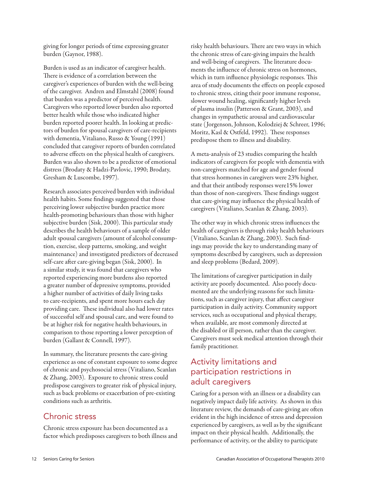giving for longer periods of time expressing greater burden (Gaynor, 1988).

Burden is used as an indicator of caregiver health. There is evidence of a correlation between the caregiver's experiences of burden with the well-being of the caregiver. Andren and Elmstahl (2008) found that burden was a predictor of perceived health. Caregivers who reported lower burden also reported better health while those who indicated higher burden reported poorer health. In looking at predictors of burden for spousal caregivers of care-recipients with dementia, Vitaliano, Russo & Young (1991) concluded that caregiver reports of burden correlated to adverse effects on the physical health of caregivers. Burden was also shown to be a predictor of emotional distress (Brodaty & Hadzi-Pavlovic, 1990; Brodaty, Gresham & Luscombe, 1997).

Research associates perceived burden with individual health habits. Some findings suggested that those perceiving lower subjective burden practice more health-promoting behaviours than those with higher subjective burden (Sisk, 2000). This particular study describes the health behaviours of a sample of older adult spousal caregivers (amount of alcohol consumption, exercise, sleep patterns, smoking, and weight maintenance) and investigated predictors of decreased self-care after care-giving began (Sisk, 2000). In a similar study, it was found that caregivers who reported experiencing more burdens also reported a greater number of depressive symptoms, provided a higher number of activities of daily living tasks to care-recipients, and spent more hours each day providing care. These individual also had lower rates of successful self and spousal care, and were found to be at higher risk for negative health behaviours, in comparison to those reporting a lower perception of burden (Gallant & Connell, 1997).

In summary, the literature presents the care-giving experience as one of constant exposure to some degree of chronic and psychosocial stress (Vitaliano, Scanlan & Zhang, 2003). Exposure to chronic stress could predispose caregivers to greater risk of physical injury, such as back problems or exacerbation of pre-existing conditions such as arthritis.

#### Chronic stress

Chronic stress exposure has been documented as a factor which predisposes caregivers to both illness and risky health behaviours. There are two ways in which the chronic stress of care-giving impairs the health and well-being of caregivers. The literature documents the influence of chronic stress on hormones, which in turn influence physiologic responses. This area of study documents the effects on people exposed to chronic stress, citing their poor immune response, slower wound healing, significantly higher levels of plasma insulin (Patterson & Grant, 2003), and changes in sympathetic arousal and cardiovascular state ( Jorgenson, Johnson, Kolodziej & Schreer, 1996; Moritz, Kasl & Ostfeld, 1992). These responses predispose them to illness and disability.

A meta-analysis of 23 studies comparing the health indicators of caregivers for people with dementia with non-caregivers matched for age and gender found that stress hormones in caregivers were 23% higher, and that their antibody responses were15% lower than those of non-caregivers. These findings suggest that care-giving may influence the physical health of caregivers (Vitaliano, Scanlan & Zhang, 2003).

The other way in which chronic stress influences the health of caregivers is through risky health behaviours (Vitaliano, Scanlan & Zhang, 2003). Such findings may provide the key to understanding many of symptoms described by caregivers, such as depression and sleep problems (Bedard, 2009).

The limitations of caregiver participation in daily activity are poorly documented. Also poorly documented are the underlying reasons for such limitations, such as caregiver injury, that affect caregiver participation in daily activity. Community support services, such as occupational and physical therapy, when available, are most commonly directed at the disabled or ill person, rather than the caregiver. Caregivers must seek medical attention through their family practitioner.

#### Activity limitations and participation restrictions in adult caregivers

Caring for a person with an illness or a disability can negatively impact daily life activity. As shown in this literature review, the demands of care-giving are often evident in the high incidence of stress and depression experienced by caregivers, as well as by the significant impact on their physical health. Additionally, the performance of activity, or the ability to participate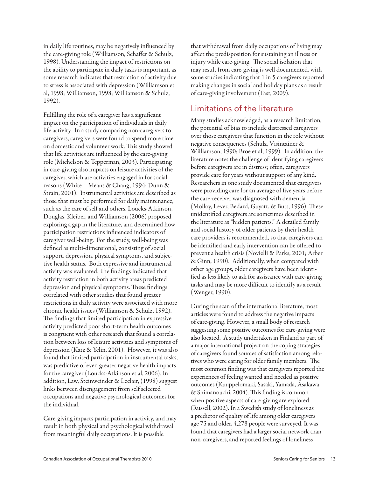in daily life routines, may be negatively influenced by the care-giving role (Williamson, Schaffer & Schulz, 1998). Understanding the impact of restrictions on the ability to participate in daily tasks is important, as some research indicates that restriction of activity due to stress is associated with depression (Williamson et al, 1998; Williamson, 1998; Williamson & Schulz, 1992).

Fulfilling the role of a caregiver has a significant impact on the participation of individuals in daily life activity. In a study comparing non-caregivers to caregivers, caregivers were found to spend more time on domestic and volunteer work. This study showed that life activities are influenced by the care-giving role (Michelson & Tepperman, 2003). Participating in care-giving also impacts on leisure activities of the caregiver, which are activities engaged in for social reasons (White – Means & Chang, 1994; Dunn & Strain, 2001). Instrumental activities are described as those that must be performed for daily maintenance, such as the care of self and others. Loucks-Atkinson, Douglas, Kleiber, and Williamson (2006) proposed exploring a gap in the literature, and determined how participation restrictions influenced indicators of caregiver well-being. For the study, well-being was defined as multi-dimensional, consisting of social support, depression, physical symptoms, and subjective health status. Both expressive and instrumental activity was evaluated. The findings indicated that activity restriction in both activity areas predicted depression and physical symptoms. These findings correlated with other studies that found greater restrictions in daily activity were associated with more chronic health issues (Williamson & Schulz, 1992). The findings that limited participation in expressive activity predicted poor short-term health outcomes is congruent with other research that found a correlation between loss of leisure activities and symptoms of depression (Katz & Yelin, 2001). However, it was also found that limited participation in instrumental tasks, was predictive of even greater negative health impacts for the caregiver (Loucks-Atkinson et al, 2006). In addition, Law, Steinweinder & Leclair, (1998) suggest links between disengagement from self selected occupations and negative psychological outcomes for the individual.

Care-giving impacts participation in activity, and may result in both physical and psychological withdrawal from meaningful daily occupations. It is possible

that withdrawal from daily occupations of living may affect the predisposition for sustaining an illness or injury while care-giving. The social isolation that may result from care-giving is well documented, with some studies indicating that 1 in 5 caregivers reported making changes in social and holiday plans as a result of care-giving involvement (Fast, 2009).

#### Limitations of the literature

Many studies acknowledged, as a research limitation, the potential of bias to include distressed caregivers over those caregivers that function in the role without negative consequences (Schulz, Visintainer & Williamson, 1990; Broe et al, 1999). In addition, the literature notes the challenge of identifying caregivers before caregivers are in distress; often, caregivers provide care for years without support of any kind. Researchers in one study documented that caregivers were providing care for an average of five years before the care-receiver was diagnosed with dementia (Molloy, Lever, Bedard, Guyatt, & Butt, 1996). These unidentified caregivers are sometimes described in the literature as "hidden patients." A detailed family and social history of older patients by their health care providers is recommended, so that caregivers can be identified and early intervention can be offered to prevent a health crisis (Novielli & Parks, 2001; Arber & Ginn, 1990). Additionally, when compared with other age groups, older caregivers have been identified as less likely to ask for assistance with care-giving tasks and may be more difficult to identify as a result (Wenger, 1990).

During the scan of the international literature, most articles were found to address the negative impacts of care-giving. However, a small body of research suggesting some positive outcomes for care-giving were also located. A study undertaken in Finland as part of a major international project on the coping strategies of caregivers found sources of satisfaction among relatives who were caring for older family members. The most common finding was that caregivers reported the experiences of feeling wanted and needed as positive outcomes (Kuuppelomaki, Sasaki, Yamada, Asakawa & Shimanouchi, 2004). This finding is common when positive aspects of care-giving are explored (Russell, 2002). In a Swedish study of loneliness as a predictor of quality of life among older caregivers age 75 and older, 4,278 people were surveyed. It was found that caregivers had a larger social network than non-caregivers, and reported feelings of loneliness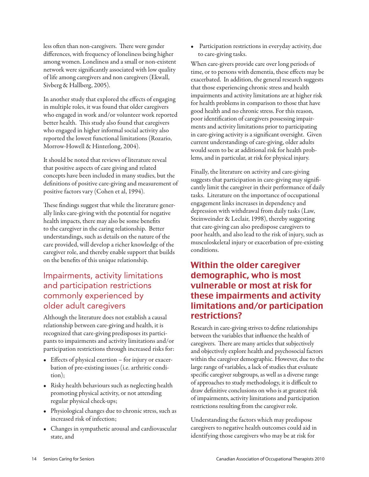less often than non-caregivers. There were gender differences, with frequency of loneliness being higher among women. Loneliness and a small or non-existent network were significantly associated with low quality of life among caregivers and non caregivers (Ekwall, Sivberg & Hallberg, 2005).

In another study that explored the effects of engaging in multiple roles, it was found that older caregivers who engaged in work and/or volunteer work reported better health. This study also found that caregivers who engaged in higher informal social activity also reported the lowest functional limitations (Rozario, Morrow-Howell & Hinterlong, 2004).

It should be noted that reviews of literature reveal that positive aspects of care giving and related concepts have been included in many studies, but the definitions of positive care-giving and measurement of positive factors vary (Cohen et al, 1994).

These findings suggest that while the literature generally links care-giving with the potential for negative health impacts, there may also be some benefits to the caregiver in the caring relationship. Better understandings, such as details on the nature of the care provided, will develop a richer knowledge of the caregiver role, and thereby enable support that builds on the benefits of this unique relationship.

## Impairments, activity limitations and participation restrictions commonly experienced by older adult caregivers

Although the literature does not establish a causal relationship between care-giving and health, it is recognized that care-giving predisposes its participants to impairments and activity limitations and/or participation restrictions through increased risks for:

- Effects of physical exertion for injury or exacerbation of pre-existing issues (i.e. arthritic condition);
- Risky health behaviours such as neglecting health promoting physical activity, or not attending regular physical check-ups;
- • Physiological changes due to chronic stress, such as increased risk of infection;
- Changes in sympathetic arousal and cardiovascular state, and

• Participation restrictions in everyday activity, due to care-giving tasks.

When care-givers provide care over long periods of time, or to persons with dementia, these effects may be exacerbated. In addition, the general research suggests that those experiencing chronic stress and health impairments and activity limitations are at higher risk for health problems in comparison to those that have good health and no chronic stress. For this reason, poor identification of caregivers possessing impairments and activity limitations prior to participating in care-giving activity is a significant oversight. Given current understandings of care-giving, older adults would seem to be at additional risk for health problems, and in particular, at risk for physical injury.

Finally, the literature on activity and care-giving suggests that participation in care-giving may significantly limit the caregiver in their performance of daily tasks. Literature on the importance of occupational engagement links increases in dependency and depression with withdrawal from daily tasks (Law, Steinweinder & Leclair, 1998), thereby suggesting that care-giving can also predispose caregivers to poor health, and also lead to the risk of injury, such as musculoskeletal injury or exacerbation of pre-existing conditions.

# Within the older caregiver demographic, who is most vulnerable or most at risk for these impairments and activity limitations and/or participation restrictions?

Research in care-giving strives to define relationships between the variables that influence the health of caregivers. There are many articles that subjectively and objectively explore health and psychosocial factors within the caregiver demographic. However, due to the large range of variables, a lack of studies that evaluate specific caregiver subgroups, as well as a diverse range of approaches to study methodology, it is difficult to draw definitive conclusions on who is at greatest risk of impairments, activity limitations and participation restrictions resulting from the caregiver role.

Understanding the factors which may predispose caregivers to negative health outcomes could aid in identifying those caregivers who may be at risk for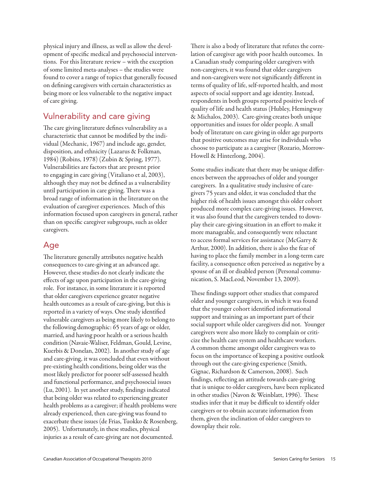physical injury and illness, as well as allow the development of specific medical and psychosocial interventions. For this literature review – with the exception of some limited meta-analyses – the studies were found to cover a range of topics that generally focused on defining caregivers with certain characteristics as being more or less vulnerable to the negative impact of care giving.

# Vulnerability and care giving

The care giving literature defines vulnerability as a characteristic that cannot be modified by the individual (Mechanic, 1967) and include age, gender, disposition, and ethnicity (Lazarus & Folkman, 1984) (Robins, 1978) (Zubin & Spring, 1977). Vulnerabilities are factors that are present prior to engaging in care giving (Vitaliano et al, 2003), although they may not be defined as a vulnerability until participation in care giving. There was a broad range of information in the literature on the evaluation of caregiver experiences. Much of this information focused upon caregivers in general, rather than on specific caregiver subgroups, such as older caregivers.

# Age

The literature generally attributes negative health consequences to care-giving at an advanced age. However, these studies do not clearly indicate the effects of age upon participation in the care-giving role. For instance, in some literature it is reported that older caregivers experience greater negative health outcomes as a result of care-giving, but this is reported in a variety of ways. One study identified vulnerable caregivers as being more likely to belong to the following demographic: 65 years of age or older, married, and having poor health or a serious health condition (Navaie-Waliser, Feldman, Gould, Levine, Kuerbis & Donelan, 2002). In another study of age and care-giving, it was concluded that even without pre-existing health conditions, being older was the most likely predictor for poorer self-assessed health and functional performance, and psychosocial issues (Lu, 2001). In yet another study, findings indicated that being older was related to experiencing greater health problems as a caregiver; if health problems were already experienced, then care-giving was found to exacerbate these issues (de Frias, Tuokko & Rosenberg, 2005). Unfortunately, in these studies, physical injuries as a result of care-giving are not documented.

There is also a body of literature that refutes the correlation of caregiver age with poor health outcomes. In a Canadian study comparing older caregivers with non-caregivers, it was found that older caregivers and non-caregivers were not significantly different in terms of quality of life, self-reported health, and most aspects of social support and age identity. Instead, respondents in both groups reported positive levels of quality of life and health status (Hubley, Hemingway & Michalos, 2003). Care-giving creates both unique opportunities and issues for older people. A small body of literature on care giving in older age purports that positive outcomes may arise for individuals who choose to participate as a caregiver (Rozario, Morrow-Howell & Hinterlong, 2004).

Some studies indicate that there may be unique differences between the approaches of older and younger caregivers. In a qualitative study inclusive of caregivers 75 years and older, it was concluded that the higher risk of health issues amongst this older cohort produced more complex care-giving issues. However, it was also found that the caregivers tended to downplay their care-giving situation in an effort to make it more manageable, and consequently were reluctant to access formal services for assistance (McGarry & Arthur, 2000). In addition, there is also the fear of having to place the family member in a long-term care facility, a consequence often perceived as negative by a spouse of an ill or disabled person (Personal communication, S. MacLeod, November 13, 2009).

These findings support other studies that compared older and younger caregivers, in which it was found that the younger cohort identified informational support and training as an important part of their social support while older caregivers did not. Younger caregivers were also more likely to complain or criticize the health care system and healthcare workers. A common theme amongst older caregivers was to focus on the importance of keeping a positive outlook through out the care-giving experience (Smith, Gignac, Richardson & Camerson, 2008). Such findings, reflecting an attitude towards care-giving that is unique to older caregivers, have been replicated in other studies (Navon & Weinblatt, 1996). These studies infer that it may be difficult to identify older caregivers or to obtain accurate information from them, given the inclination of older caregivers to downplay their role.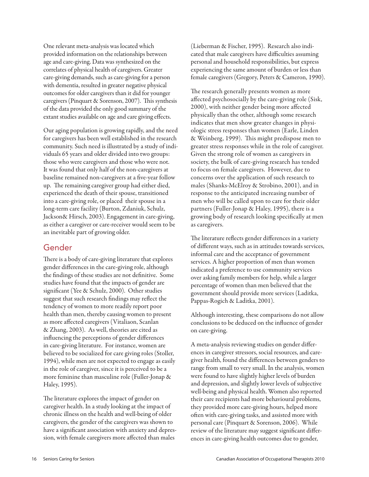One relevant meta-analysis was located which provided information on the relationships between age and care-giving. Data was synthesized on the correlates of physical health of caregivers. Greater care-giving demands, such as care-giving for a person with dementia, resulted in greater negative physical outcomes for older caregivers than it did for younger caregivers (Pinquart & Sorenson, 2007). This synthesis of the data provided the only good summary of the extant studies available on age and care giving effects.

Our aging population is growing rapidly, and the need for caregivers has been well established in the research community. Such need is illustrated by a study of individuals 65 years and older divided into two groups: those who were caregivers and those who were not. It was found that only half of the non-caregivers at baseline remained non-caregivers at a five-year follow up. The remaining caregiver group had either died, experienced the death of their spouse, transitioned into a care-giving role, or placed their spouse in a long-term care facility (Burton, Zdaniuk, Schulz, Jackson& Hirsch, 2003). Engagement in care-giving, as either a caregiver or care-receiver would seem to be an inevitable part of growing older.

#### Gender

There is a body of care-giving literature that explores gender differences in the care-giving role, although the findings of these studies are not definitive. Some studies have found that the impacts of gender are significant (Yee & Schulz, 2000). Other studies suggest that such research findings may reflect the tendency of women to more readily report poor health than men, thereby causing women to present as more affected caregivers (Vitaliaon, Scanlan & Zhang, 2003). As well, theories are cited as influencing the perceptions of gender differences in care-giving literature. For instance, women are believed to be socialized for care giving roles (Stoller, 1994), while men are not expected to engage as easily in the role of caregiver, since it is perceived to be a more feminine than masculine role (Fuller-Jonap & Haley, 1995).

The literature explores the impact of gender on caregiver health. In a study looking at the impact of chronic illness on the health and well-being of older caregivers, the gender of the caregivers was shown to have a significant association with anxiety and depression, with female caregivers more affected than males

(Lieberman & Fischer, 1995). Research also indicated that male caregivers have difficulties assuming personal and household responsibilities, but express experiencing the same amount of burden or less than female caregivers (Gregory, Peters & Cameron, 1990).

The research generally presents women as more affected psychosocially by the care-giving role (Sisk, 2000), with neither gender being more affected physically than the other, although some research indicates that men show greater changes in physiologic stress responses than women (Earle, Linden & Weinberg, 1999). This might predispose men to greater stress responses while in the role of caregiver. Given the strong role of women as caregivers in society, the bulk of care-giving research has tended to focus on female caregivers. However, due to concerns over the application of such research to males (Shanks-McElroy & Strobino, 2001), and in response to the anticipated increasing number of men who will be called upon to care for their older partners (Fuller-Jonap & Haley, 1995), there is a growing body of research looking specifically at men as caregivers.

The literature reflects gender differences in a variety of different ways, such as in attitudes towards services, informal care and the acceptance of government services. A higher proportion of men than women indicated a preference to use community services over asking family members for help, while a larger percentage of women than men believed that the government should provide more services (Laditka, Pappas-Rogich & Laditka, 2001).

Although interesting, these comparisons do not allow conclusions to be deduced on the influence of gender on care-giving.

A meta-analysis reviewing studies on gender differences in caregiver stressors, social resources, and caregiver health, found the differences between genders to range from small to very small. In the analysis, women were found to have slightly higher levels of burden and depression, and slightly lower levels of subjective well-being and physical health. Women also reported their care recipients had more behavioural problems, they provided more care-giving hours, helped more often with care-giving tasks, and assisted more with personal care (Pinquart & Sorenson, 2006). While review of the literature may suggest significant differences in care-giving health outcomes due to gender,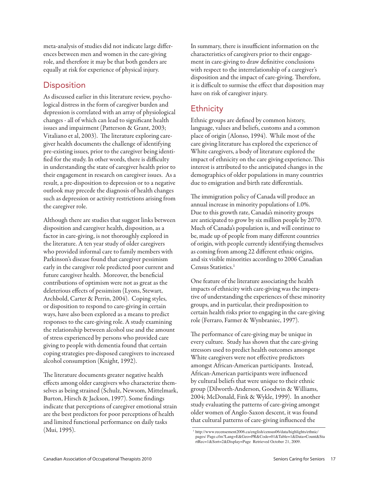meta-analysis of studies did not indicate large differences between men and women in the care-giving role, and therefore it may be that both genders are equally at risk for experience of physical injury.

#### **Disposition**

As discussed earlier in this literature review, psychological distress in the form of caregiver burden and depression is correlated with an array of physiological changes - all of which can lead to significant health issues and impairment (Patterson & Grant, 2003; Vitaliano et al, 2003). The literature exploring caregiver health documents the challenge of identifying pre-existing issues, prior to the caregiver being identified for the study. In other words, there is difficulty in understanding the state of caregiver health prior to their engagement in research on caregiver issues. As a result, a pre-disposition to depression or to a negative outlook may precede the diagnosis of health changes such as depression or activity restrictions arising from the caregiver role.

Although there are studies that suggest links between disposition and caregiver health, disposition, as a factor in care-giving, is not thoroughly explored in the literature. A ten year study of older caregivers who provided informal care to family members with Parkinson's disease found that caregiver pessimism early in the caregiver role predicted poor current and future caregiver health. Moreover, the beneficial contributions of optimism were not as great as the deleterious effects of pessimism (Lyons, Stewart, Archbold, Carter & Perrin, 2004). Coping styles, or disposition to respond to care-giving in certain ways, have also been explored as a means to predict responses to the care-giving role. A study examining the relationship between alcohol use and the amount of stress experienced by persons who provided care giving to people with dementia found that certain coping strategies pre-disposed caregivers to increased alcohol consumption (Knight, 1992).

The literature documents greater negative health effects among older caregivers who characterize themselves as being strained (Schulz, Newsom, Mittelmark, Burton, Hirsch & Jackson, 1997). Some findings indicate that perceptions of caregiver emotional strain are the best predictors for poor perceptions of health and limited functional performance on daily tasks (Mui, 1995). 1 http://www.recensement2006.ca/english/census06/data/highlights/ethnic/

In summary, there is insufficient information on the characteristics of caregivers prior to their engagement in care-giving to draw definitive conclusions with respect to the interrelationship of a caregiver's disposition and the impact of care-giving. Therefore, it is difficult to surmise the effect that disposition may have on risk of caregiver injury.

# **Ethnicity**

Ethnic groups are defined by common history, language, values and beliefs, customs and a common place of origin (Alonso, 1994). While most of the care giving literature has explored the experience of White caregivers, a body of literature explored the impact of ethnicity on the care giving experience. This interest is attributed to the anticipated changes in the demographics of older populations in many countries due to emigration and birth rate differentials.

The immigration policy of Canada will produce an annual increase in minority populations of 1.0%. Due to this growth rate, Canada's minority groups are anticipated to grow by six million people by 2070. Much of Canada's population is, and will continue to be, made up of people from many different countries of origin, with people currently identifying themselves as coming from among 22 different ethnic origins, and six visible minorities according to 2006 Canadian Census Statistics.<sup>1</sup>

One feature of the literature associating the health impacts of ethnicity with care-giving was the imperative of understanding the experiences of these minority groups, and in particular, their predisposition to certain health risks prior to engaging in the care-giving role (Ferraro, Farmer & Wynbraniec, 1997).

The performance of care-giving may be unique in every culture. Study has shown that the care-giving stressors used to predict health outcomes amongst White caregivers were not effective predictors amongst African-American participants. Instead, African-American participants were influenced by cultural beliefs that were unique to their ethnic group (Dilworth-Anderson, Goodwin & Williams, 2004; McDonald, Fink & Wykle, 1999). In another study evaluating the patterns of care-giving amongst older women of Anglo-Saxon descent, it was found that cultural patterns of care-giving influenced the

pages/ Page.cfm?Lang=E&Geo=PR&Code=01&Table=1&Data=Count&Sta rtRec=1&Sort=2&Display=Page Retrieved October 21, 2009.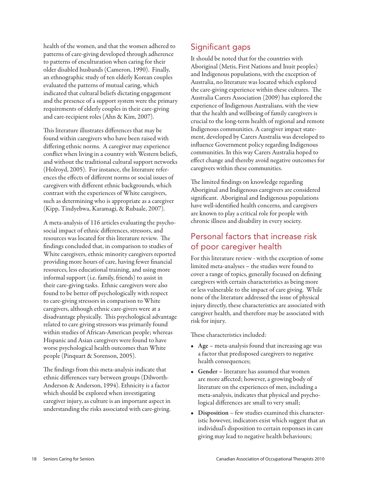health of the women, and that the women adhered to patterns of care-giving developed through adherence to patterns of enculturation when caring for their older disabled husbands (Cameron, 1990). Finally, an ethnographic study of ten elderly Korean couples evaluated the patterns of mutual caring, which indicated that cultural beliefs dictating engagement and the presence of a support system were the primary requirements of elderly couples in their care-giving and care-recipient roles (Ahn & Kim, 2007).

This literature illustrates differences that may be found within caregivers who have been raised with differing ethnic norms. A caregiver may experience conflict when living in a country with Western beliefs, and without the traditional cultural support networks (Holroyd, 2005). For instance, the literature references the effects of different norms or social issues of caregivers with different ethnic backgrounds, which contrast with the experiences of White caregivers, such as determining who is appropriate as a caregiver (Kipp, Tindyebwa, Karamagi, & Rubaale, 2007).

A meta-analysis of 116 articles evaluating the psychosocial impact of ethnic differences, stressors, and resources was located for this literature review. The findings concluded that, in comparison to studies of White caregivers, ethnic minority caregivers reported providing more hours of care, having fewer financial resources, less educational training, and using more informal support (i.e. family, friends) to assist in their care-giving tasks. Ethnic caregivers were also found to be better off psychologically with respect to care-giving stressors in comparison to White caregivers, although ethnic care-givers were at a disadvantage physically. This psychological advantage related to care giving stressors was primarily found within studies of African-American people; whereas Hispanic and Asian caregivers were found to have worse psychological health outcomes than White people (Pinquart & Sorenson, 2005).

The findings from this meta-analysis indicate that ethnic differences vary between groups (Dilworth-Anderson & Anderson, 1994). Ethnicity is a factor which should be explored when investigating caregiver injury, as culture is an important aspect in understanding the risks associated with care-giving.

# Significant gaps

It should be noted that for the countries with Aboriginal (Metis, First Nations and Inuit peoples) and Indigenous populations, with the exception of Australia, no literature was located which explored the care-giving experience within these cultures. The Australia Carers Association (2009) has explored the experience of Indigenous Australians, with the view that the health and wellbeing of family caregivers is crucial to the long-term health of regional and remote Indigenous communities. A caregiver impact statement, developed by Carers Australia was developed to influence Government policy regarding Indigenous communities. In this way Carers Australia hoped to effect change and thereby avoid negative outcomes for caregivers within these communities.

The limited findings on knowledge regarding Aboriginal and Indigenous caregivers are considered significant. Aboriginal and Indigenous populations have well-identified health concerns, and caregivers are known to play a critical role for people with chronic illness and disability in every society.

#### Personal factors that increase risk of poor caregiver health

For this literature review - with the exception of some limited meta-analyses – the studies were found to cover a range of topics, generally focused on defining caregivers with certain characteristics as being more or less vulnerable to the impact of care giving. While none of the literature addressed the issue of physical injury directly, these characteristics are associated with caregiver health, and therefore may be associated with risk for injury.

These characteristics included:

- Age meta-analysis found that increasing age was a factor that predisposed caregivers to negative health consequences;
- Gender literature has assumed that women are more affected; however, a growing body of literature on the experiences of men, including a meta-analysis, indicates that physical and psychological differences are small to very small;
- Disposition few studies examined this characteristic however, indicators exist which suggest that an individual's disposition to certain responses in care giving may lead to negative health behaviours;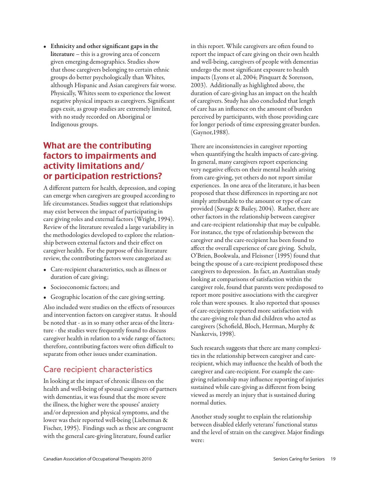• Ethnicity and other significant gaps in the literature – this is a growing area of concern given emerging demographics. Studies show that those caregivers belonging to certain ethnic groups do better psychologically than Whites, although Hispanic and Asian caregivers fair worse. Physically, Whites seem to experience the lowest negative physical impacts as caregivers. Significant gaps exsit, as group studies are extremely limited, with no study recorded on Aboriginal or Indigenous groups.

# What are the contributing factors to impairments and activity limitations and/ or participation restrictions?

A different pattern for health, depression, and coping can emerge when caregivers are grouped according to life circumstances. Studies suggest that relationships may exist between the impact of participating in care giving roles and external factors (Wright, 1994). Review of the literature revealed a large variability in the methodologies developed to explore the relationship between external factors and their effect on caregiver health. For the purpose of this literature review, the contributing factors were categorized as:

- Care-recipient characteristics, such as illness or duration of care giving;
- Socioeconomic factors; and
- Geographic location of the care giving setting.

Also included were studies on the effects of resources and intervention factors on caregiver status. It should be noted that - as in so many other areas of the literature - the studies were frequently found to discuss caregiver health in relation to a wide range of factors; therefore, contributing factors were often difficult to separate from other issues under examination.

# Care recipient characteristics

In looking at the impact of chronic illness on the health and well-being of spousal caregivers of partners with dementias, it was found that the more severe the illness, the higher were the spouses' anxiety and/or depression and physical symptoms, and the lower was their reported well-being (Lieberman & Fischer, 1995). Findings such as these are congruent with the general care-giving literature, found earlier

in this report. While caregivers are often found to report the impact of care giving on their own health and well-being, caregivers of people with dementias undergo the most significant exposure to health impacts (Lyons et al, 2004; Pinquart & Sorenson, 2003). Additionally as highlighted above, the duration of care-giving has an impact on the health of caregivers. Study has also concluded that length of care has an influence on the amount of burden perceived by participants, with those providing care for longer periods of time expressing greater burden. (Gaynor,1988).

There are inconsistencies in caregiver reporting when quantifying the health impacts of care-giving. In general, many caregivers report experiencing very negative effects on their mental health arising from care-giving, yet others do not report similar experiences. In one area of the literature, it has been proposed that these differences in reporting are not simply attributable to the amount or type of care provided (Savage & Bailey, 2004). Rather, there are other factors in the relationship between caregiver and care-recipient relationship that may be culpable. For instance, the type of relationship between the caregiver and the care-recipient has been found to affect the overall experience of care giving. Schulz, O'Brien, Bookwala, and Fleissner (1995) found that being the spouse of a care-recipient predisposed these caregivers to depression. In fact, an Australian study looking at comparisons of satisfaction within the caregiver role, found that parents were predisposed to report more positive associations with the caregiver role than were spouses. It also reported that spouses of care-recipients reported more satisfaction with the care-giving role than did children who acted as caregivers (Schofield, Bloch, Herrman, Murphy & Nankervis, 1998).

Such research suggests that there are many complexities in the relationship between caregiver and carerecipient, which may influence the health of both the caregiver and care-recipient. For example the caregiving relationship may influence reporting of injuries sustained while care-giving as different from being viewed as merely an injury that is sustained during normal duties.

Another study sought to explain the relationship between disabled elderly veterans' functional status and the level of strain on the caregiver. Major findings were: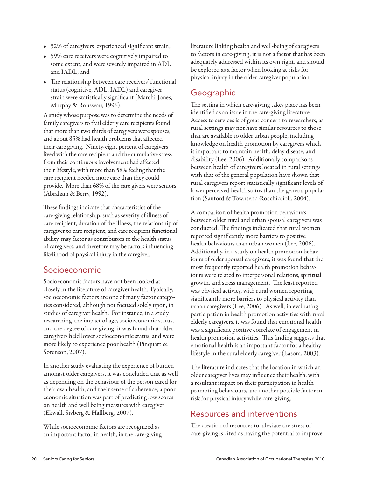- • 52% of caregivers experienced significant strain;
- • 59% care receivers were cognitively impaired to some extent, and were severely impaired in ADL and IADL; and
- The relationship between care receivers' functional status (cognitive, ADL, IADL) and caregiver strain were statistically significant (Marchi-Jones, Murphy & Rousseau, 1996).

A study whose purpose was to determine the needs of family caregivers to frail elderly care recipients found that more than two thirds of caregivers were spouses, and about 85% had health problems that affected their care giving. Ninety-eight percent of caregivers lived with the care recipient and the cumulative stress from their continuous involvement had affected their lifestyle, with more than 58% feeling that the care recipient needed more care than they could provide. More than 68% of the care givers were seniors (Abraham & Berry, 1992).

These findings indicate that characteristics of the care-giving relationship, such as severity of illness of care recipient, duration of the illness, the relationship of caregiver to care recipient, and care recipient functional ability, may factor as contributors to the health status of caregivers, and therefore may be factors influencing likelihood of physical injury in the caregiver.

#### Socioeconomic

Socioeconomic factors have not been looked at closely in the literature of caregiver health. Typically, socioeconomic factors are one of many factor categories considered, although not focused solely upon, in studies of caregiver health. For instance, in a study researching the impact of age, socioeconomic status, and the degree of care giving, it was found that older caregivers held lower socioeconomic status, and were more likely to experience poor health (Pinquart & Sorenson, 2007).

In another study evaluating the experience of burden amongst older caregivers, it was concluded that as well as depending on the behaviour of the person cared for their own health, and their sense of coherence, a poor economic situation was part of predicting low scores on health and well being measures with caregiver (Ekwall, Sivberg & Hallberg, 2007).

While socioeconomic factors are recognized as an important factor in health, in the care-giving literature linking health and well-being of caregivers to factors in care-giving, it is not a factor that has been adequately addressed within its own right, and should be explored as a factor when looking at risks for physical injury in the older caregiver population.

# Geographic

The setting in which care-giving takes place has been identified as an issue in the care-giving literature. Access to services is of great concern to researchers, as rural settings may not have similar resources to those that are available to older urban people, including knowledge on health promotion by caregivers which is important to maintain health, delay disease, and disability (Lee, 2006). Additionally comparisons between health of caregivers located in rural settings with that of the general population have shown that rural caregivers report statistically significant levels of lower perceived health status than the general population (Sanford & Townsend-Rocchiccioli, 2004).

A comparison of health promotion behaviours between older rural and urban spousal caregivers was conducted. The findings indicated that rural women reported significantly more barriers to positive health behaviours than urban women (Lee, 2006). Additionally, in a study on health promotion behaviours of older spousal caregivers, it was found that the most frequently reported health promotion behaviours were related to interpersonal relations, spiritual growth, and stress management. The least reported was physical activity, with rural women reporting significantly more barriers to physical activity than urban caregivers (Lee, 2006). As well, in evaluating participation in health promotion activities with rural elderly caregivers, it was found that emotional health was a significant positive correlate of engagement in health promotion activities. This finding suggests that emotional health is an important factor for a healthy lifestyle in the rural elderly caregiver (Easom, 2003).

The literature indicates that the location in which an older caregiver lives may influence their health, with a resultant impact on their participation in health promoting behaviours, and another possible factor in risk for physical injury while care-giving.

#### Resources and interventions

The creation of resources to alleviate the stress of care-giving is cited as having the potential to improve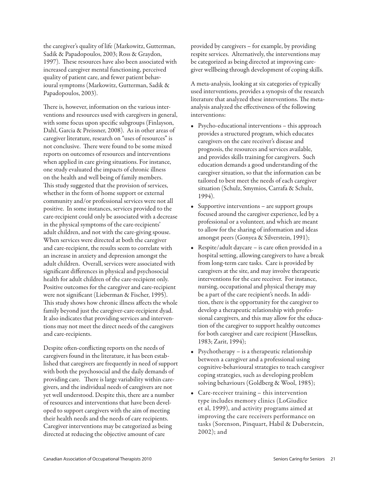the caregiver's quality of life (Markowitz, Gutterman, Sadik & Papadopoulos, 2003; Ross & Graydon, 1997). These resources have also been associated with increased caregiver mental functioning, perceived quality of patient care, and fewer patient behavioural symptoms (Markowitz, Gutterman, Sadik & Papadopoulos, 2003).

There is, however, information on the various interventions and resources used with caregivers in general, with some focus upon specific subgroups (Finlayson, Dahl, Garcia & Preissner, 2008). As in other areas of caregiver literature, research on "uses of resources" is not conclusive. There were found to be some mixed reports on outcomes of resources and interventions when applied in care giving situations. For instance, one study evaluated the impacts of chronic illness on the health and well being of family members. This study suggested that the provision of services, whether in the form of home support or external community and/or professional services were not all positive. In some instances, services provided to the care-recipient could only be associated with a decrease in the physical symptoms of the care-recipients' adult children, and not with the care-giving spouse. When services were directed at both the caregiver and care-recipient, the results seem to correlate with an increase in anxiety and depression amongst the adult children. Overall, services were associated with significant differences in physical and psychosocial health for adult children of the care-recipient only. Positive outcomes for the caregiver and care-recipient were not significant (Lieberman & Fischer, 1995). This study shows how chronic illness affects the whole family beyond just the caregiver-care-recipient dyad. It also indicates that providing services and interventions may not meet the direct needs of the caregivers and care-recipients.

Despite often-conflicting reports on the needs of caregivers found in the literature, it has been established that caregivers are frequently in need of support with both the psychosocial and the daily demands of providing care. There is large variability within caregivers, and the individual needs of caregivers are not yet well understood. Despite this, there are a number of resources and interventions that have been developed to support caregivers with the aim of meeting their health needs and the needs of care recipients. Caregiver interventions may be categorized as being directed at reducing the objective amount of care

provided by caregivers – for example, by providing respite services. Alternatively, the interventions may be categorized as being directed at improving caregiver wellbeing through development of coping skills.

A meta-analysis, looking at six categories of typically used interventions, provides a synopsis of the research literature that analyzed these interventions. The metaanalysis analyzed the effectiveness of the following interventions:

- • Psycho-educational interventions this approach provides a structured program, which educates caregivers on the care receiver's disease and prognosis, the resources and services available, and provides skills training for caregivers. Such education demands a good understanding of the caregiver situation, so that the information can be tailored to best meet the needs of each caregiver situation (Schulz, Smymios, Carrafa & Schulz, 1994).
- Supportive interventions are support groups focused around the caregiver experience, led by a professional or a volunteer, and which are meant to allow for the sharing of information and ideas amongst peers (Gonyea & Silverstein, 1991);
- Respite/adult daycare is care often provided in a hospital setting, allowing caregivers to have a break from long-term care tasks. Care is provided by caregivers at the site, and may involve therapeutic interventions for the care receiver. For instance, nursing, occupational and physical therapy may be a part of the care recipient's needs. In addition, there is the opportunity for the caregiver to develop a therapeutic relationship with professional caregivers, and this may allow for the education of the caregiver to support healthy outcomes for both caregiver and care recipient (Hasselkus, 1983; Zarit, 1994);
- Psychotherapy is a therapeutic relationship between a caregiver and a professional using cognitive-behavioural strategies to teach caregiver coping strategies, such as developing problem solving behaviours (Goldberg & Wool, 1985);
- Care-receiver training this intervention type includes memory clinics (LoGiudice et al, 1999), and activity programs aimed at improving the care receivers performance on tasks (Sorenson, Pinquart, Habil & Duberstein, 2002); and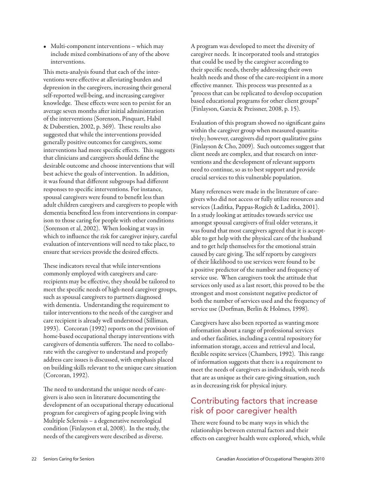• Multi-component interventions – which may include mixed combinations of any of the above interventions.

This meta-analysis found that each of the interventions were effective at alleviating burden and depression in the caregivers, increasing their general self-reported well-being, and increasing caregiver knowledge. These effects were seen to persist for an average seven months after initial administration of the interventions (Sorenson, Pinquart, Habil & Duberstien, 2002, p. 369). These results also suggested that while the interventions provided generally positive outcomes for caregivers, some interventions had more specific effects. This suggests that clinicians and caregivers should define the desirable outcome and choose interventions that will best achieve the goals of intervention. In addition, it was found that different subgroups had different responses to specific interventions. For instance, spousal caregivers were found to benefit less than adult children caregivers and caregivers to people with dementia benefited less from interventions in comparison to those caring for people with other conditions (Sorenson et al, 2002). When looking at ways in which to influence the risk for caregiver injury, careful evaluation of interventions will need to take place, to ensure that services provide the desired effects.

These indicators reveal that while interventions commonly employed with caregivers and carerecipients may be effective, they should be tailored to meet the specific needs of high-need caregiver groups, such as spousal caregivers to partners diagnosed with dementia. Understanding the requirement to tailor interventions to the needs of the caregiver and care recipient is already well understood (Silliman, 1993). Corcoran (1992) reports on the provision of home-based occupational therapy interventions with caregivers of dementia sufferers. The need to collaborate with the caregiver to understand and properly address care issues is discussed, with emphasis placed on building skills relevant to the unique care situation (Corcoran, 1992).

The need to understand the unique needs of caregivers is also seen in literature documenting the development of an occupational therapy educational program for caregivers of aging people living with Multiple Sclerosis – a degenerative neurological condition (Finlayson et al, 2008). In the study, the needs of the caregivers were described as diverse.

A program was developed to meet the diversity of caregiver needs. It incorporated tools and strategies that could be used by the caregiver according to their specific needs, thereby addressing their own health needs and those of the care-recipient in a more effective manner. This process was presented as a "process that can be replicated to develop occupation based educational programs for other client groups" (Finlayson, Garcia & Preissner, 2008, p. 15).

Evaluation of this program showed no significant gains within the caregiver group when measured quantitatively; however, caregivers did report qualitative gains (Finlayson & Cho, 2009). Such outcomes suggest that client needs are complex, and that research on interventions and the development of relevant supports need to continue, so as to best support and provide crucial services to this vulnerable population.

Many references were made in the literature of caregivers who did not access or fully utilize resources and services (Laditka, Pappas-Rogich & Laditka, 2001). In a study looking at attitudes towards service use amongst spousal caregivers of frail older veterans, it was found that most caregivers agreed that it is acceptable to get help with the physical care of the husband and to get help themselves for the emotional strain caused by care giving. The self reports by caregivers of their likelihood to use services were found to be a positive predictor of the number and frequency of service use. When caregivers took the attitude that services only used as a last resort, this proved to be the strongest and most consistent negative predictor of both the number of services used and the frequency of service use (Dorfman, Berlin & Holmes, 1998).

Caregivers have also been reported as wanting more information about a range of professional services and other facilities, including a central repository for information storage, access and retrieval and local, flexible respite services (Chambers, 1992). This range of information suggests that there is a requirement to meet the needs of caregivers as individuals, with needs that are as unique as their care-giving situation, such as in decreasing risk for physical injury.

#### Contributing factors that increase risk of poor caregiver health

There were found to be many ways in which the relationships between external factors and their effects on caregiver health were explored, which, while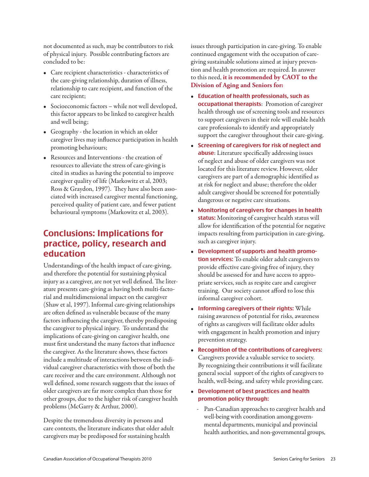not documented as such, may be contributors to risk of physical injury. Possible contributing factors are concluded to be:

- • Care recipient characteristics characteristics of the care-giving relationship, duration of illness, relationship to care recipient, and function of the care recipient;
- Socioeconomic factors while not well developed, this factor appears to be linked to caregiver health and well being;
- • Geography the location in which an older caregiver lives may influence participation in health promoting behaviours;
- Resources and Interventions the creation of resources to alleviate the stress of care-giving is cited in studies as having the potential to improve caregiver quality of life (Markowitz et al, 2003; Ross & Graydon, 1997). They have also been associated with increased caregiver mental functioning, perceived quality of patient care, and fewer patient behavioural symptoms (Markowitz et al, 2003).

# Conclusions: Implications for practice, policy, research and education

Understandings of the health impact of care-giving, and therefore the potential for sustaining physical injury as a caregiver, are not yet well defined. The literature presents care-giving as having both multi-factorial and multidimensional impact on the caregiver (Shaw et al, 1997). Informal care-giving relationships are often defined as vulnerable because of the many factors influencing the caregiver, thereby predisposing the caregiver to physical injury. To understand the implications of care-giving on caregiver health, one must first understand the many factors that influence the caregiver. As the literature shows, these factors include a multitude of interactions between the individual caregiver characteristics with those of both the care receiver and the care environment. Although not well defined, some research suggests that the issues of older caregivers are far more complex than those for other groups, due to the higher risk of caregiver health problems (McGarry & Arthur, 2000).

Despite the tremendous diversity in persons and care contexts, the literature indicates that older adult caregivers may be predisposed for sustaining health

issues through participation in care-giving. To enable continued engagement with the occupation of caregiving sustainable solutions aimed at injury prevention and health promotion are required. In answer to this need, **it is recommended by CAOT to the Division of Aging and Seniors for:**

- • Education of health professionals, such as occupational therapists: Promotion of caregiver health through use of screening tools and resources to support caregivers in their role will enable health care professionals to identify and appropriately support the caregiver throughout their care-giving.
- Screening of caregivers for risk of neglect and abuse: Literature specifically addressing issues of neglect and abuse of older caregivers was not located for this literature review. However, older caregivers are part of a demographic identified as at risk for neglect and abuse; therefore the older adult caregiver should be screened for potentially dangerous or negative care situations.
- Monitoring of caregivers for changes in health status: Monitoring of caregiver health status will allow for identification of the potential for negative impacts resulting from participation in care-giving, such as caregiver injury.
- • Development of supports and health promotion services: To enable older adult caregivers to provide effective care-giving free of injury, they should be assessed for and have access to appropriate services, such as respite care and caregiver training. Our society cannot afford to lose this informal caregiver cohort.
- Informing caregivers of their rights: While raising awareness of potential for risks, awareness of rights as caregivers will facilitate older adults with engagement in health promotion and injury prevention strategy.
- Recognition of the contributions of caregivers: Caregivers provide a valuable service to society. By recognizing their contributions it will facilitate general social support of the rights of caregivers to health, well-being, and safety while providing care.
- • Development of best practices and health promotion policy through:
	- Pan-Canadian approaches to caregiver health and well-being with coordination among governmental departments, municipal and provincial health authorities, and non-governmental groups,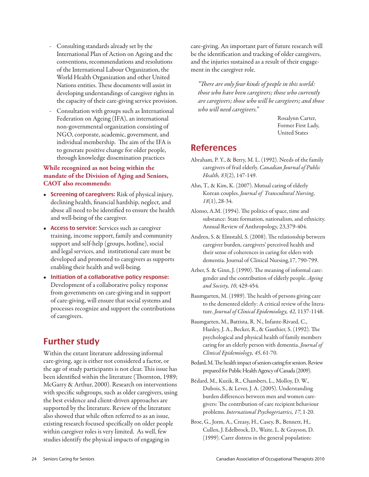- Consulting standards already set by the International Plan of Action on Ageing and the conventions, recommendations and resolutions of the International Labour Organization, the World Health Organization and other United Nations entities. These documents will assist in developing understandings of caregiver rights in the capacity of their care-giving service provision.
- Consultation with groups such as International Federation on Ageing (IFA), an international non-governmental organization consisting of NGO, corporate, academic, government, and individual membership. The aim of the IFA is to generate positive change for older people, through knowledge dissemination practices

#### **While recognized as not being within the mandate of the Division of Aging and Seniors, CAOT also recommends:**

- Screening of caregivers: Risk of physical injury, declining health, financial hardship, neglect, and abuse all need to be identified to ensure the health and well-being of the caregiver.
- Access to service: Services such as caregiver training, income support, family and community support and self-help (groups, hotline), social and legal services, and institutional care must be developed and promoted to caregivers as supports enabling their health and well-being.
- Initiation of a collaborative policy response: Development of a collaborative policy response from governments on care-giving and in support of care-giving, will ensure that social systems and processes recognize and support the contributions of caregivers.

#### Further study

Within the extant literature addressing informal care-giving, age is either not considered a factor, or the age of study participants is not clear. This issue has been identified within the literature (Thornton, 1989; McGarry & Arthur, 2000). Research on interventions with specific subgroups, such as older caregivers, using the best evidence and client-driven approaches are supported by the literature. Review of the literature also showed that while often referred to as an issue, existing research focused specifically on older people within caregiver roles is very limited. As well, few studies identify the physical impacts of engaging in

care-giving. An important part of future research will be the identification and tracking of older caregivers, and the injuries sustained as a result of their engagement in the caregiver role.

*"There are only four kinds of people in this world: those who have been caregivers; those who currently are caregivers; those who will be caregivers; and those who will need caregivers."*

> Rosalynn Carter, Former First Lady, United States

#### References

- Abraham, P. Y., & Berry, M. L. (1992). Needs of the family caregivers of frail elderly. *Canadian Journal of Public Health, 83*(2), 147-149.
- Ahn, T., & Kim, K. (2007). Mutual caring of elderly Korean couples. *Journal of Transcultural Nursing, 18*(1), 28-34.
- Alonso, A.M. (1994). The politics of space, time and substance: State formation, nationalism, and ethnicity. Annual Review of Anthropology, 23,379-404.
- Andren, S. & Elmstahl, S. (2008). The relationship between caregiver burden, caregivers' perceived health and their sense of coherences in caring for elders with dementia. Journal of Clinical Nursing,17, 790-799.
- Arber, S. & Ginn, J. (1990). The meaning of informal care: gender and the contribution of elderly people. *Ageing and Society, 10*, 429-454.
- Baumgarten, M. (1989). The health of persons giving care to the demented elderly: A critical review of the literature. *Journal of Clinical Epidemiology, 42*, 1137-1148.
- Baumgarten, M., Battista, R. N., Infante-Rivard, C., Hanley, J. A., Becker, R., & Gauthier, S. (1992). The psychological and physical health of family members caring for an elderly person with dementia. *Journal of Clinical Epidemiology, 45*, 61-70.
- Bedard, M. The health impact of seniors caring for seniors. Review prepared for Public Health Agency of Canada (2009).
- Bédard, M., Kuzik, R., Chambers, L., Molloy, D. W., Dubois, S., & Lever, J. A. (2005). Understanding burden differences between men and women caregivers: The contribution of care recipient behaviour problems. *International Psychogeriatrics, 17*, 1-20.
- Broe, G., Jorm, A., Creasy, H., Casey, B., Bennett, H., Cullen, J. Edelbrock, D., Waite, L. & Grayson, D. (1999). Carer distress in the general population: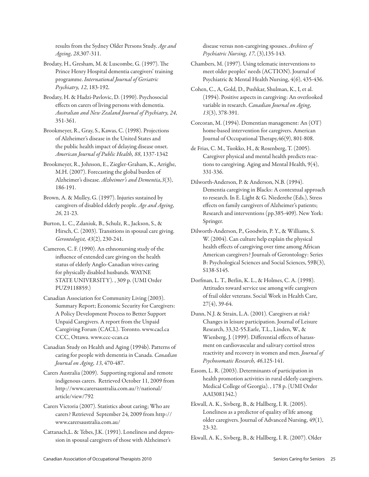results from the Sydney Older Persons Study. *Age and Ageing, 28*,307-311.

Brodaty, H., Gresham, M. & Luscombe, G. (1997). The Prince Henry Hospital dementia caregivers' training programme. *International Journal of Geriatric Psychiatry, 12*, 183-192.

Brodaty, H. & Hadzi-Pavlovic, D. (1990). Psychosocial effects on carers of living persons with dementia. *Australian and New Zealand Journal of Psychiatry, 24*, 351-361.

Brookmeyer, R., Gray, S., Kawas, C. (1998). Projections of Alzheimer's disease in the United States and the public health impact of delaying disease onset. *American Journal of Public Health, 88*, 1337-1342

Brookmeyer, R., Johnson, E., Ziegler-Graham, K., Arrighe, M.H. (2007). Forecasting the global burden of Alzheimer's disease. *Alzheimer's and Dementia,3*(3), 186-191.

Brown, A. & Mulley, G. (1997). Injuries sustained by caregivers of disabled elderly people. *Age and Ageing, 26*, 21-23.

Burton, L. C., Zdaniuk, B., Schulz, R., Jackson, S., & Hirsch, C. (2003). Transitions in spousal care giving. *Gerontologist, 43*(2), 230-241.

Cameron, C. F. (1990). An ethnonursing study of the influence of extended care giving on the health status of elderly Anglo-Canadian wives caring for physically disabled husbands. WAYNE STATE UNIVERSITY). , 309 p. (UMI Order PUZ9118859.)

Canadian Association for Community Living (2003). Summary Report; Economic Security for Caregivers: A Policy Development Process to Better Support Unpaid Caregivers. A report from the Unpaid Caregiving Forum (CACL). Toronto. www.cacl.ca CCC, Ottawa. www.ccc-ccan.ca

Canadian Study on Health and Aging (1994b). Patterns of caring for people with dementia in Canada. *Canadian Journal on Aging, 13*, 470-487.

Carers Australia (2009). Supporting regional and remote indigenous carers. Retrieved October 11, 2009 from http://www.carersaustralia.com.au/?/national/ article/view/792

Carers Victoria (2007). Statistics about caring; Who are carers? Retrieved September 24, 2009 from http:// www.carersaustralia.com.au/

Cattanach,L. & Tebes, J.K. (1991). Loneliness and depression in spousal caregivers of those with Alzheimer's

disease versus non-caregiving spouses. *Archives of Psychiatric Nursing, 17*, (3),135-143.

Chambers, M. (1997). Using telematic interventions to meet older peoples' needs (ACTION). Journal of Psychiatric & Mental Health Nursing, 4(6), 435-436.

Cohen, C., A, Gold, D., Pushkar, Shulman, K., I, et al. (1994). Positive aspects in caregiving: An overlooked variable in research. *Canadian Journal on Aging, 13*(3), 378-391.

Corcoran, M. (1994). Dementian management: An (OT) home-based intervention for caregivers. American Journal of Occupational Therapy,46(9), 801-808.

de Frias, C. M., Tuokko, H., & Rosenberg, T. (2005). Caregiver physical and mental health predicts reactions to caregiving. Aging and Mental Health, 9(4), 331-336.

Dilworth-Anderson, P. & Anderson, N.B. (1994). Dementia caregiving in Blacks: A contextual approach to research. In E. Light & G. Niederehe (Eds.), Stress effects on family caregivers of Alzheimer's patients; Research and interventions (pp.385-409). New York: Springer.

Dilworth-Anderson, P., Goodwin, P. Y., & Williams, S. W. (2004). Can culture help explain the physical health effects of caregiving over time among African American caregivers? Journals of Gerontology: Series B: Psychological Sciences and Social Sciences, 59B(3), S138-S145.

Dorfman, L. T., Berlin, K. L., & Holmes, C. A. (1998). Attitudes toward service use among wife caregivers of frail older veterans. Social Work in Health Care, 27(4), 39-64.

Dunn, N.J. & Strain, L.A. (2001). Caregivers at risk? Changes in leisure participation. Journal of Leisure Research, 33,32-55.Earle, T.L., Linden, W., & Wienberg, J. (1999). Differential effects of harassment on cardiovascular and salivary cortisol stress reactivity and recovery in women and men. *Journal of Psychosomatic Research, 46*,125-141.

Easom, L. R. (2003). Determinants of participation in health promotion activities in rural elderly caregivers. Medical College of Georgia). , 178 p. (UMI Order AAI3081342.)

Ekwall, A. K., Sivberg, B., & Hallberg, I. R. (2005). Loneliness as a predictor of quality of life among older caregivers. Journal of Advanced Nursing, 49(1), 23-32.

Ekwall, A. K., Sivberg, B., & Hallberg, I. R. (2007). Older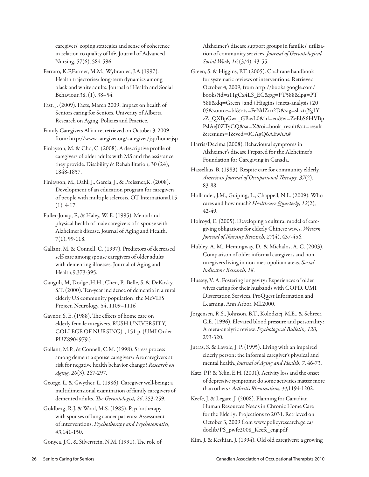caregivers' coping strategies and sense of coherence in relation to quality of life. Journal of Advanced Nursing, 57(6), 584-596.

Ferraro, K.F,Farmer, M.M., Wybraniec, J.A.(1997). Health trajectories: long-term dynamics among black and white adults. Journal of Health and Social Behaviour,38, (1), 38–54.

Fast, J. (2009). Facts, March 2009: Impact on health of Seniors caring for Seniors. Univerity of Alberta Research on Aging, Policies and Practice.

Family Caregivers Alliance, retrieved on October 3, 2009 from: http://www.caregiver.org/caregiver/jsp/home.jsp

Finlayson, M. & Cho, C. (2008). A descriptive profile of caregivers of older adults with MS and the assistance they provide. Disability & Rehabilitation, 30 (24), 1848-1857.

Finlayson, M., Dahl, J., Garcia, J., & Preissner,K. (2008). Development of an education program for caregivers of people with multiple sclerosis. OT International,15  $(1), 4-17.$ 

Fuller-Jonap, F., & Haley, W. E. (1995). Mental and physical health of male caregivers of a spouse with Alzheimer's disease. Journal of Aging and Health, 7(1), 99-118.

Gallant, M. & Connell, C. (1997). Predictors of decreased self-care among spouse caregivers of older adults with dementing illnesses. Journal of Aging and Health,9,373-395.

Ganguli, M, Dodge ,H.H., Chen, P., Belle, S. & DeKosky, S.T. (2000). Ten-year incidence of dementia in a rural elderly US community population: the MoVIES Project. Neurology, 54, 1109–1116

Gaynor, S. E. (1988). The effects of home care on elderly female caregivers. RUSH UNIVERSITY, COLLEGE OF NURSING). , 151 p. (UMI Order PUZ8904979.)

Gallant, M.P., & Connell, C.M. (1998). Stress process among dementia spouse caregivers: Are caregivers at risk for negative health behavior change? *Research on Aging, 20*(3), 267-297.

George, L. & Gwyther, L. (1986). Caregiver well-being; a multidimensional examination of family caregivers of demented adults. *The Gerontologist, 26*, 253-259.

Goldberg, R.J. & Wool, M.S. (1985). Psychotherapy with spouses of lung cancer patients: Assessment of interventions. *Psychotherapy and Psychosomatics, 43*,141-150.

Gonyea, J.G. & Silverstein, N.M. (1991). The role of

Alzheimer's disease support groups in families' utilization of community services. *Journal of Gerontological Social Work, 16,*(3/4), 43-55.

Green, S. & Higgins, P.T. (2005). Cochrane handbook for systematic reviews of interventions. Retrieved October 4, 2009, from http://books.google.com/ books?id=s11gCx4LS\_EC&pg=PT588&lpg=PT 588&dq=Green+and+Higgins+meta-analysis+20 05&source=bl&ots=FeNtlZru2D&sig=slrztqYg1Y zZ\_QXBpGwa\_GBavL0&hl=en&ei=ZeEbS6HVBp PslAeJ0ZTyCQ&sa=X&oi=book\_result&ct=result &resnum=1&ved=0CAgQ6AEwAA#

Harris/Decima (2008). Behavioural symptoms in Alzheimer's disease Prepared for the Alzheimer's Foundation for Caregiving in Canada.

Hasselkus, B. (1983). Respite care for community elderly. *American Journal of Occupational Therapy, 37*(2), 83-88.

Hollander, J.M., Guiping, L., Chappell, N.L..(2009). Who cares and how much? *Healthcare Quarterly, 12*(2), 42-49.

Holroyd, E. (2005). Developing a cultural model of caregiving obligations for elderly Chinese wives. *Western Journal of Nursing Research, 27*(4), 437-456.

Hubley, A. M., Hemingway, D., & Michalos, A. C. (2003). Comparison of older informal caregivers and noncaregivers living in non-metropolitan areas. *Social Indicators Research, 18*.

Hussey, V. A. Fostering longevity: Experiences of older wives caring for their husbands with COPD. UMI Dissertation Services, ProQuest Information and Learning, Ann Arbor, MI.2000,

Jorgensen, R.S., Johnson, B.T., Kolodziej, M.E., & Schreer, G.E. (1996). Elevated blood pressure and personality: A meta-analytic review. *Psychological Bulletin, 120,* 293-320.

Jutras, S. & Lavoie, J. P. (1995). Living with an impaired elderly person: the informal caregiver's physical and mental health. *Journal of Aging and Health, 7*, 46-73.

Katz, P.P. & Yelin, E.H. (2001). Activity loss and the onset of depressive symptoms: do some activities matter more than others? *Arthritis Rheumatism, 44*,1194-1202.

Keefe, J. & Legare, J. (2008). Planning for Canadian Human Resources Needs in Chronic Home Care for the Elderly: Projections to 2031. Retrieved on October 3, 2009 from www.policyresearch.gc.ca/ doclib/PS\_pwfc2008\_Keefe\_eng.pdf

Kim, J. & Keshian, J. (1994). Old old caregivers: a growing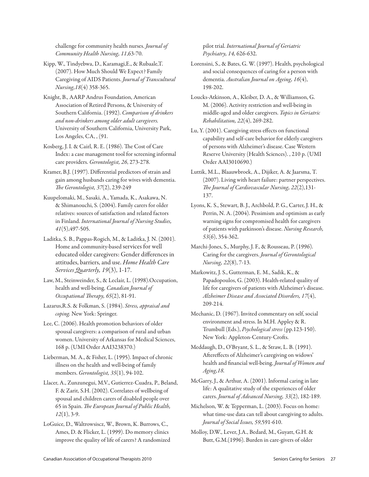challenge for community health nurses. *Journal of Community Health Nursing, 11*,63-70.

- Kipp, W., Tindyebwa, D., Karamagi,E., & Rubaale,T. (2007). How Much Should We Expect? Family Caregiving of AIDS Patients. *Journal of Transcultural Nursing,18*(4) 358-365.
- Knight, B., AARP Andrus Foundation, American Association of Retired Persons, & University of Southern California. (1992). *Comparison of drinkers and non-drinkers among older adult caregivers.*  University of Southern California, University Park, Los Angeles, CA, , (91.
- Kosberg, J. I. & Cairl, R. E. (1986). The Cost of Care Index: a case management tool for screening informal care providers. *Gerontologist, 26*, 273-278.
- Kramer, B.J. (1997). Differential predictors of strain and gain among husbands caring for wives with dementia. *The Gerontologist, 37*(2), 239-249
- Kuupelomaki, M., Sasaki, A., Yamada, K., Asakawa, N. & Shimanouchi, S. (2004). Family carers for older relatives: sources of satisfaction and related factors in Finland. *International Journal of Nursing Studies, 41*(5),497-505.
- Laditka, S. B., Pappas-Rogich, M., & Laditka, J. N. (2001). Home and community-based services for well educated older caregivers: Gender differences in attitudes, barriers, and use. *Home Health Care Services Quarterly, 19*(3), 1-17.
- Law, M., Steinweinder, S., & Leclair, L. (1998).Occupation, health and well-being. *Canadian Journal of Occupational Therapy, 65*(2), 81-91.
- Lazarus,R.S. & Folkman, S. (1984). *Stress, appraisal and coping.* New York: Springer.
- Lee, C. (2006). Health promotion behaviors of older spousal caregivers: a comparison of rural and urban women. University of Arkansas for Medical Sciences, 168 p. (UMI Order AAI3238370.)
- Lieberman, M. A., & Fisher, L. (1995). Impact of chronic illness on the health and well-being of family members. *Gerontologist, 35*(1), 94-102.
- Llacer, A., Zunzunegui, M.V., Gutierrez-Cuadra, P., Beland, F. & Zarit, S.H. (2002). Correlates of wellbeing of spousal and children carers of disabled people over 65 in Spain. *The European Journal of Public Health, 12*(1), 3-9.
- LoGuice, D., Waltrowsiscz, W., Brown, K. Burrows, C., Ames, D. & Flicker, L. (1999). Do memory clinics improve the quality of life of carers? A randomized

pilot trial. *International Journal of Geriatric Psychiatry, 14,* 626-632.

- Lorensini, S., & Bates, G. W. (1997). Health, psychological and social consequences of caring for a person with dementia. *Australian Journal on Ageing, 16*(4), 198-202.
- Loucks-Atkinson, A., Kleiber, D. A., & Williamson, G. M. (2006). Activity restriction and well-being in middle-aged and older caregivers. *Topics in Geriatric Rehabilitation, 22*(4), 269-282.
- Lu, Y. (2001). Caregiving stress effects on functional capability and self-care behavior for elderly caregivers of persons with Alzheimer's disease. Case Western Reserve University (Health Sciences). , 210 p. (UMI Order AAI3010690.)
- Luttik, M.L., Blaauwbroek, A., Dijiker, A. & Jaarsma, T. (2007). Living with heart failure: partner perspectives. *The Journal of Cardiovascular Nursing, 22*(2),131- 137.
- Lyons, K. S., Stewart, B. J., Archbold, P. G., Carter, J. H., & Perrin, N. A. (2004). Pessimism and optimism as early warning signs for compromised health for caregivers of patients with parkinson's disease. *Nursing Research, 53*(6), 354-362.
- Marchi-Jones, S., Murphy, J. F., & Rousseau, P. (1996). Caring for the caregivers. *Journal of Gerontological Nursing, 22*(8), 7-13.
- Markowitz, J. S., Gutterman, E. M., Sadik, K., & Papadopoulos, G. (2003). Health-related quality of life for caregivers of patients with Alzheimer's disease. *Alzheimer Disease and Associated Disorders, 17*(4), 209-214.
- Mechanic, D. (1967). Invited commentary on self, social environment and stress. In M.H. Appley & R. Trumbull (Eds.), *Psychological stress* (pp.123-150). New York: Appleton-Century-Crofts.
- Meddaugh, D., O'Bryant, S. L., & Straw, L. B. (1991). Aftereffects of Alzheimer's caregiving on widows' health and financial well-being. *Journal of Women and Aging,18.*
- McGarry, J., & Arthur, A. (2001). Informal caring in late life: A qualitative study of the experiences of older carers. *Journal of Advanced Nursing, 33*(2), 182-189.
- Michelson, W. & Tepperman, L. (2003). Focus on home: what time-use data can tell about caregiving to adults. *Journal of Social Issues, 59*,591-610.
- Molloy, D.W., Lever, J.A., Bedard, M., Guyatt, G.H. & Butt, G.M.(1996). Burden in care-givers of older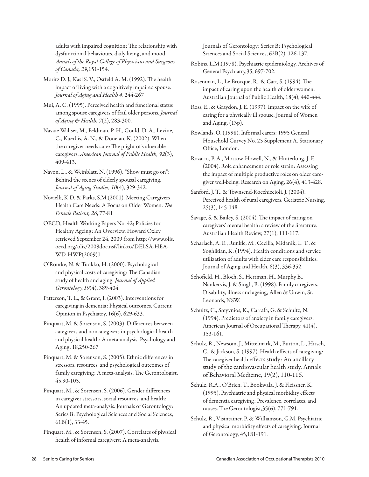adults with impaired cognition: The relationship with dysfunctional behaviours, daily living, and mood. *Annals of the Royal College of Physicians and Surgeons of Canada, 29*,151-154.

Moritz D. J., Kasl S. V., Ostfeld A. M. (1992). The health impact of living with a cognitively impaired spouse. *Journal of Aging and Health 4*, 244-267

Mui, A. C. (1995). Perceived health and functional status among spouse caregivers of frail older persons. *Journal of Aging & Health, 7*(2), 283-300.

Navaie-Waliser, M., Feldman, P. H., Gould, D. A., Levine, C., Kuerbis, A. N., & Donelan, K. (2002). When the caregiver needs care: The plight of vulnerable caregivers. *American Journal of Public Health, 92*(3), 409-413.

Navon, L., & Weinblatt, N. (1996). "Show must go on": Behind the scenes of elderly spousal caregiving. *Journal of Aging Studies, 10*(4), 329-342.

Novielli, K.D. & Parks, S.M.(2001). Meeting Caregivers Health Care Needs: A Focus on Older Women. *The Female Patient, 26*, 77-81

OECD, Health Working Papers No. 42; Policies for Healthy Ageing: An Overview. Howard Oxley retrieved September 24, 2009 from http://www.olis. oecd.org/olis/2009doc.nsf/linkto/DELSA-HEA-WD-HWP(2009)1

O'Rourke, N. & Tuokko, H. (2000). Psychological and physical costs of caregiving: The Canadian study of health and aging. *Journal of Applied Gerontology,19*(4), 389-404.

Patterson, T. L., & Grant, I. (2003). Interventions for caregiving in dementia: Physical outcomes. Current Opinion in Psychiatry, 16(6), 629-633.

Pinquart, M. & Sorenson, S. (2003). Differences between caregivers and noncaregivers in psychological health and physical health: A meta-analysis. Psychology and Aging, 18,250-267

Pinquart, M. & Sorenson, S. (2005). Ethnic differences in stressors, resources, and psychological outcomes of family caregiving: A meta-analysis. The Gerontologist, 45,90-105.

Pinquart, M., & Sorensen, S. (2006). Gender differences in caregiver stressors, social resources, and health: An updated meta-analysis. Journals of Gerontology: Series B: Psychological Sciences and Social Sciences, 61B(1), 33-45.

Pinquart, M., & Sorensen, S. (2007). Correlates of physical health of informal caregivers: A meta-analysis.

Journals of Gerontology: Series B: Psychological Sciences and Social Sciences, 62B(2), 126-137.

Robins, L.M.(1978). Psychiatric epidemiology. Archives of General Psychiatry,35, 697-702.

Rosenman, L., Le Brocque, R., & Carr, S. (1994). The impact of caring upon the health of older women. Australian Journal of Public Health, 18(4), 440-444.

Ross, E., & Graydon, J. E. (1997). Impact on the wife of caring for a physically ill spouse. Journal of Women and Aging, (13p).

Rowlands, O. (1998). Informal carers: 1995 General Household Curvey No. 25 Supplement A. Stationary Office, London.

Rozario, P. A., Morrow-Howell, N., & Hinterlong, J. E. (2004). Role enhancement or role strain: Assessing the impact of multiple productive roles on older caregiver well-being. Research on Aging, 26(4), 413-428.

Sanford, J. T., & Townsend-Rocchiccioli, J. (2004). Perceived health of rural caregivers. Geriatric Nursing, 25(3), 145-148.

Savage, S. & Bailey, S. (2004). The impact of caring on caregivers' mental health: a review of the literature. Australian Health Review, 27(1), 111-117.

Scharlach, A. E., Runkle, M., Cecilia, Midanik, L. T., & Soghikian, K. (1994). Health conditions and service utilization of adults with elder care responsibilities. Journal of Aging and Health, 6(3), 336-352.

Schofield, H., Bloch, S., Herrman, H., Murphy B., Nankervis, J. & Singh, B. (1998). Family caregivers. Disability, illness and ageing, Allen & Unwin, St. Leonards, NSW.

Schultz, C., Smyvnios, K., Carrafa, G. & Schultz, N. (1994). Predictors of anxiety in family caregivers. American Journal of Occupational Therapy, 41(4), 153-161.

Schulz, R., Newsom, J., Mittelmark, M., Burton, L., Hirsch, C., & Jackson, S. (1997). Health effects of caregiving: The caregiver health effects study: An ancillary study of the cardiovascular health study. Annals of Behavioral Medicine, 19(2), 110-116.

Schulz, R.A., O'Brien, T., Bookwala, J. & Fleissner, K. (1995). Psychiatric and physical morbidity effects of dementia caregiving: Prevalence, correlates, and causes. The Gerontologist,35(6). 771-791.

Schulz, R., Visintainer, P. & Williamson, G.M. Psychiatric and physical morbidity effects of caregiving. Journal of Gerontology, 45,181-191.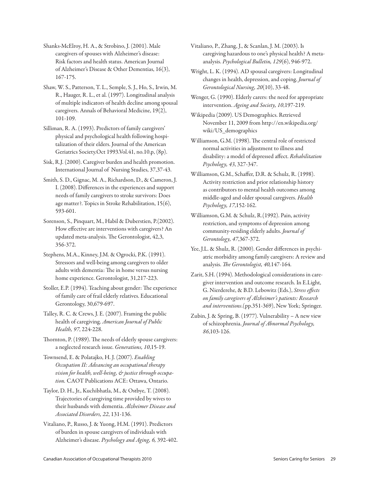Shanks-McElroy, H. A., & Strobino, J. (2001). Male caregivers of spouses with Alzheimer's disease: Risk factors and health status. American Journal of Alzheimer's Disease & Other Dementias, 16(3), 167-175.

Shaw, W. S., Patterson, T. L., Semple, S. J., Ho, S., Irwin, M. R., Hauger, R. L., et al. (1997). Longitudinal analysis of multiple indicators of health decline among spousal caregivers. Annals of Behavioral Medicine, 19(2), 101-109.

Silliman, R. A. (1993). Predictors of family caregivers' physical and psychological health following hospitalization of their elders. Journal of the American Geriatrics Society.Oct 1993.Vol.41, no.10.p, (8p).

Sisk, R.J. (2000). Caregiver burden and health promotion. International Journal of Nursing Studies, 37,37-43.

Smith, S. D., Gignac, M. A., Richardson, D., & Cameron, J. I. (2008). Differences in the experiences and support needs of family caregivers to stroke survivors: Does age matter?. Topics in Stroke Rehabilitation, 15(6), 593-601.

Sorenson, S., Pinquart, M., Habil & Duberstien, P.(2002). How effective are interventions with caregivers? An updated meta-analysis. The Gerontologist, 42,3, 356-372.

Stephens, M.A., Kinney, J.M. & Ogrocki, P.K. (1991). Stressors and well-being among caregivers to older adults with dementia: The in home versus nursing home experience. Gerontologist, 31,217-223.

Stoller, E.P. (1994). Teaching about gender: The experience of family care of frail elderly relatives. Educational Gerontology, 30,679-697.

Talley, R. C. & Crews, J. E. (2007). Framing the public health of caregiving. *American Journal of Public Health, 97*, 224-228.

Thornton, P. (1989). The needs of elderly spouse caregivers: a neglected research issue. *Generations, 10*,15-19.

Townsend, E. & Polatajko, H. J. (2007). *Enabling Occupation II: Advancing an occupational therapy vision for health, well-being, & justice through occupation.* CAOT Publications ACE: Ottawa, Ontario.

Taylor, D. H., Jr., Kuchibhatla, M., & Ostbye, T. (2008). Trajectories of caregiving time provided by wives to their husbands with dementia. *Alzheimer Disease and Associated Disorders, 22*, 131-136.

Vitaliano, P., Russo, J. & Yuong, H.M. (1991). Predictors of burden in spouse caregivers of individuals with Alzheimer's disease. *Psychology and Aging, 6,* 392-402. Vitaliano, P., Zhang, J., & Scanlan, J. M. (2003). Is caregiving hazardous to one's physical health? A metaanalysis. *Psychological Bulletin, 129*(6), 946-972.

Wright, L. K. (1994). AD spousal caregivers: Longitudinal changes in health, depression, and coping. *Journal of Gerontological Nursing, 20*(10), 33-48.

Wenger, G. (1990). Elderly carers: the need for appropriate intervention. *Ageing and Society, 10*,197-219.

Wikipedia (2009). US Demographics. Retrieved November 11, 2009 from http://en.wikipedia.org/ wiki/US\_demographics

Williamson, G.M. (1998). The central role of restricted normal activities in adjustment to illness and disability: a model of depressed affect. *Rehabilitation Psychology, 43*, 327-347.

Williamson, G.M., Schaffer, D.R. & Schulz, R. (1998). Activity restriction and prior relationship history as contributors to mental health outcomes among middle-aged and older spousal caregivers. *Health Psychology, 17*,152-162.

Williamson, G.M. & Schulz, R.(1992). Pain, activity restriction, and symptoms of depression among community-residing elderly adults. *Journal of Gerontology, 47*,367-372.

Yee, J.L. & Shulz, R. (2000). Gender differences in psychiatric morbidity among family caregivers: A review and analysis. *The Gerontologist, 40,*147-164.

Zarit, S.H. (1994). Methodological considerations in caregiver intervention and outcome research. In E.Light, G. Nierderehe, & B.D. Lebowitz (Eds.), *Stress effects on family caregivers of Alzheimer's patients: Research and interventions*.(pp.351-369), New York; Springer.

Zubin, J. & Spring, B. (1977). Vulnerability – A new view of schizophrenia. *Journal of Abnormal Psychology, 86*,103-126.